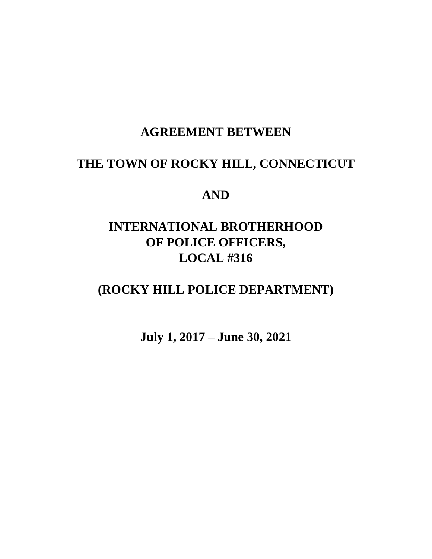# **AGREEMENT BETWEEN**

# **THE TOWN OF ROCKY HILL, CONNECTICUT**

## **AND**

# **INTERNATIONAL BROTHERHOOD OF POLICE OFFICERS, LOCAL #316**

# **(ROCKY HILL POLICE DEPARTMENT)**

**July 1, 2017 – June 30, 2021**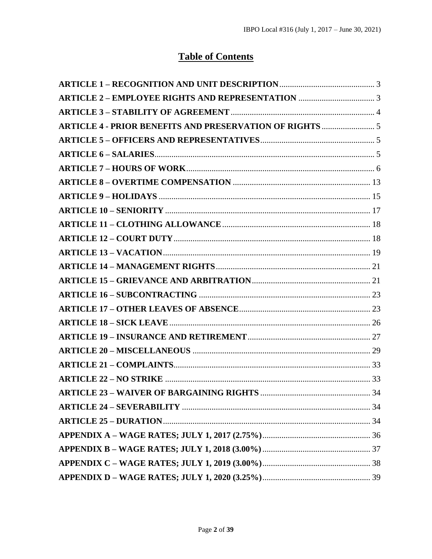# **Table of Contents**

| <b>ARTICLE 4 - PRIOR BENEFITS AND PRESERVATION OF RIGHTS  5</b> |      |
|-----------------------------------------------------------------|------|
|                                                                 |      |
|                                                                 |      |
|                                                                 |      |
|                                                                 |      |
|                                                                 |      |
|                                                                 |      |
|                                                                 |      |
|                                                                 |      |
|                                                                 |      |
|                                                                 |      |
|                                                                 |      |
|                                                                 |      |
|                                                                 |      |
|                                                                 |      |
|                                                                 |      |
|                                                                 |      |
|                                                                 |      |
|                                                                 |      |
| <b>ARTICLE 23 - WAIVER OF BARGAINING RIGHTS </b>                | . 34 |
|                                                                 |      |
|                                                                 |      |
|                                                                 |      |
|                                                                 |      |
|                                                                 |      |
|                                                                 |      |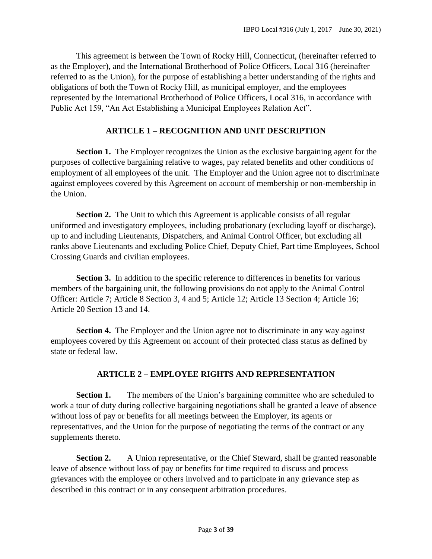This agreement is between the Town of Rocky Hill, Connecticut, (hereinafter referred to as the Employer), and the International Brotherhood of Police Officers, Local 316 (hereinafter referred to as the Union), for the purpose of establishing a better understanding of the rights and obligations of both the Town of Rocky Hill, as municipal employer, and the employees represented by the International Brotherhood of Police Officers, Local 316, in accordance with Public Act 159, "An Act Establishing a Municipal Employees Relation Act".

#### **ARTICLE 1 – RECOGNITION AND UNIT DESCRIPTION**

<span id="page-2-0"></span>**Section 1.** The Employer recognizes the Union as the exclusive bargaining agent for the purposes of collective bargaining relative to wages, pay related benefits and other conditions of employment of all employees of the unit. The Employer and the Union agree not to discriminate against employees covered by this Agreement on account of membership or non-membership in the Union.

**Section 2.** The Unit to which this Agreement is applicable consists of all regular uniformed and investigatory employees, including probationary (excluding layoff or discharge), up to and including Lieutenants, Dispatchers, and Animal Control Officer, but excluding all ranks above Lieutenants and excluding Police Chief, Deputy Chief, Part time Employees, School Crossing Guards and civilian employees.

**Section 3.** In addition to the specific reference to differences in benefits for various members of the bargaining unit, the following provisions do not apply to the Animal Control Officer: Article 7; Article 8 Section 3, 4 and 5; Article 12; Article 13 Section 4; Article 16; Article 20 Section 13 and 14.

**Section 4.** The Employer and the Union agree not to discriminate in any way against employees covered by this Agreement on account of their protected class status as defined by state or federal law.

#### **ARTICLE 2 – EMPLOYEE RIGHTS AND REPRESENTATION**

<span id="page-2-1"></span>**Section 1.** The members of the Union's bargaining committee who are scheduled to work a tour of duty during collective bargaining negotiations shall be granted a leave of absence without loss of pay or benefits for all meetings between the Employer, its agents or representatives, and the Union for the purpose of negotiating the terms of the contract or any supplements thereto.

**Section 2.** A Union representative, or the Chief Steward, shall be granted reasonable leave of absence without loss of pay or benefits for time required to discuss and process grievances with the employee or others involved and to participate in any grievance step as described in this contract or in any consequent arbitration procedures.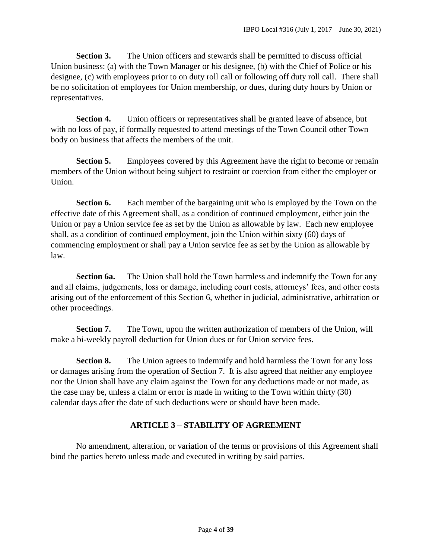**Section 3.** The Union officers and stewards shall be permitted to discuss official Union business: (a) with the Town Manager or his designee, (b) with the Chief of Police or his designee, (c) with employees prior to on duty roll call or following off duty roll call. There shall be no solicitation of employees for Union membership, or dues, during duty hours by Union or representatives.

**Section 4.** Union officers or representatives shall be granted leave of absence, but with no loss of pay, if formally requested to attend meetings of the Town Council other Town body on business that affects the members of the unit.

**Section 5.** Employees covered by this Agreement have the right to become or remain members of the Union without being subject to restraint or coercion from either the employer or Union.

**Section 6.** Each member of the bargaining unit who is employed by the Town on the effective date of this Agreement shall, as a condition of continued employment, either join the Union or pay a Union service fee as set by the Union as allowable by law. Each new employee shall, as a condition of continued employment, join the Union within sixty (60) days of commencing employment or shall pay a Union service fee as set by the Union as allowable by law.

**Section 6a.** The Union shall hold the Town harmless and indemnify the Town for any and all claims, judgements, loss or damage, including court costs, attorneys' fees, and other costs arising out of the enforcement of this Section 6, whether in judicial, administrative, arbitration or other proceedings.

**Section 7.** The Town, upon the written authorization of members of the Union, will make a bi-weekly payroll deduction for Union dues or for Union service fees.

**Section 8.** The Union agrees to indemnify and hold harmless the Town for any loss or damages arising from the operation of Section 7. It is also agreed that neither any employee nor the Union shall have any claim against the Town for any deductions made or not made, as the case may be, unless a claim or error is made in writing to the Town within thirty (30) calendar days after the date of such deductions were or should have been made.

### **ARTICLE 3 – STABILITY OF AGREEMENT**

<span id="page-3-0"></span>No amendment, alteration, or variation of the terms or provisions of this Agreement shall bind the parties hereto unless made and executed in writing by said parties.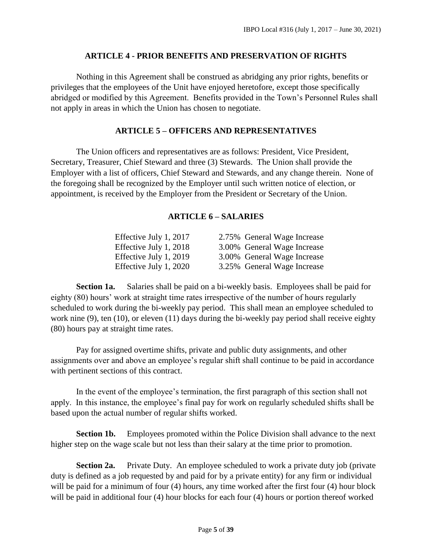#### **ARTICLE 4 - PRIOR BENEFITS AND PRESERVATION OF RIGHTS**

<span id="page-4-0"></span>Nothing in this Agreement shall be construed as abridging any prior rights, benefits or privileges that the employees of the Unit have enjoyed heretofore, except those specifically abridged or modified by this Agreement. Benefits provided in the Town's Personnel Rules shall not apply in areas in which the Union has chosen to negotiate.

#### **ARTICLE 5 – OFFICERS AND REPRESENTATIVES**

<span id="page-4-2"></span><span id="page-4-1"></span>The Union officers and representatives are as follows: President, Vice President, Secretary, Treasurer, Chief Steward and three (3) Stewards. The Union shall provide the Employer with a list of officers, Chief Steward and Stewards, and any change therein. None of the foregoing shall be recognized by the Employer until such written notice of election, or appointment, is received by the Employer from the President or Secretary of the Union.

#### **ARTICLE 6 – SALARIES**

| Effective July 1, 2017 | 2.75% General Wage Increase |
|------------------------|-----------------------------|
| Effective July 1, 2018 | 3.00% General Wage Increase |
| Effective July 1, 2019 | 3.00% General Wage Increase |
| Effective July 1, 2020 | 3.25% General Wage Increase |

**Section 1a.** Salaries shall be paid on a bi-weekly basis. Employees shall be paid for eighty (80) hours' work at straight time rates irrespective of the number of hours regularly scheduled to work during the bi-weekly pay period. This shall mean an employee scheduled to work nine (9), ten (10), or eleven (11) days during the bi-weekly pay period shall receive eighty (80) hours pay at straight time rates.

Pay for assigned overtime shifts, private and public duty assignments, and other assignments over and above an employee's regular shift shall continue to be paid in accordance with pertinent sections of this contract.

In the event of the employee's termination, the first paragraph of this section shall not apply. In this instance, the employee's final pay for work on regularly scheduled shifts shall be based upon the actual number of regular shifts worked.

**Section 1b.** Employees promoted within the Police Division shall advance to the next higher step on the wage scale but not less than their salary at the time prior to promotion.

**Section 2a.** Private Duty. An employee scheduled to work a private duty job (private duty is defined as a job requested by and paid for by a private entity) for any firm or individual will be paid for a minimum of four (4) hours, any time worked after the first four (4) hour block will be paid in additional four (4) hour blocks for each four (4) hours or portion thereof worked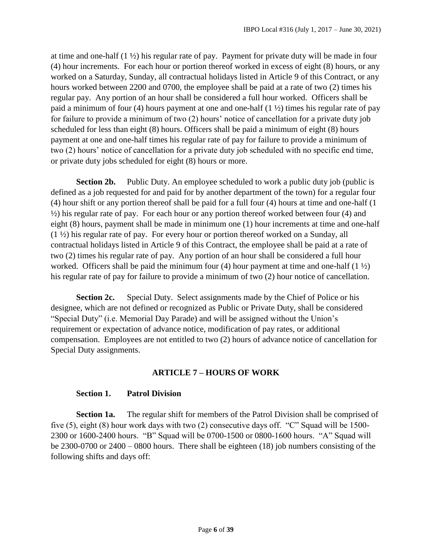at time and one-half (1 ½) his regular rate of pay. Payment for private duty will be made in four (4) hour increments. For each hour or portion thereof worked in excess of eight (8) hours, or any worked on a Saturday, Sunday, all contractual holidays listed in Article 9 of this Contract, or any hours worked between 2200 and 0700, the employee shall be paid at a rate of two (2) times his regular pay. Any portion of an hour shall be considered a full hour worked. Officers shall be paid a minimum of four (4) hours payment at one and one-half (1 ½) times his regular rate of pay for failure to provide a minimum of two (2) hours' notice of cancellation for a private duty job scheduled for less than eight (8) hours. Officers shall be paid a minimum of eight (8) hours payment at one and one-half times his regular rate of pay for failure to provide a minimum of two (2) hours' notice of cancellation for a private duty job scheduled with no specific end time, or private duty jobs scheduled for eight (8) hours or more.

**Section 2b.** Public Duty. An employee scheduled to work a public duty job (public is defined as a job requested for and paid for by another department of the town) for a regular four (4) hour shift or any portion thereof shall be paid for a full four (4) hours at time and one-half (1  $\frac{1}{2}$ ) his regular rate of pay. For each hour or any portion thereof worked between four (4) and eight (8) hours, payment shall be made in minimum one (1) hour increments at time and one-half (1 ½) his regular rate of pay. For every hour or portion thereof worked on a Sunday, all contractual holidays listed in Article 9 of this Contract, the employee shall be paid at a rate of two (2) times his regular rate of pay. Any portion of an hour shall be considered a full hour worked. Officers shall be paid the minimum four (4) hour payment at time and one-half  $(1 \frac{1}{2})$ his regular rate of pay for failure to provide a minimum of two (2) hour notice of cancellation.

**Section 2c.** Special Duty. Select assignments made by the Chief of Police or his designee, which are not defined or recognized as Public or Private Duty, shall be considered "Special Duty" (i.e. Memorial Day Parade) and will be assigned without the Union's requirement or expectation of advance notice, modification of pay rates, or additional compensation. Employees are not entitled to two (2) hours of advance notice of cancellation for Special Duty assignments.

#### **ARTICLE 7 – HOURS OF WORK**

#### <span id="page-5-0"></span>**Section 1. Patrol Division**

**Section 1a.** The regular shift for members of the Patrol Division shall be comprised of five (5), eight (8) hour work days with two (2) consecutive days off. "C" Squad will be 1500- 2300 or 1600-2400 hours. "B" Squad will be 0700-1500 or 0800-1600 hours. "A" Squad will be 2300-0700 or 2400 – 0800 hours. There shall be eighteen (18) job numbers consisting of the following shifts and days off: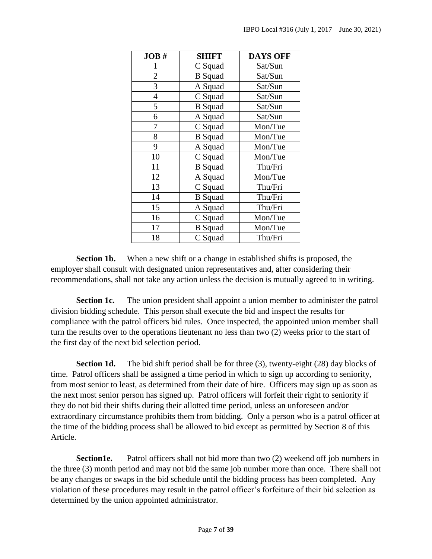| JOB#           | <b>SHIFT</b>   | <b>DAYS OFF</b> |
|----------------|----------------|-----------------|
| 1              | C Squad        | Sat/Sun         |
| $\overline{2}$ | <b>B</b> Squad | Sat/Sun         |
| 3              | A Squad        | Sat/Sun         |
| $\overline{4}$ | C Squad        | Sat/Sun         |
| 5              | <b>B</b> Squad | Sat/Sun         |
| 6              | A Squad        | Sat/Sun         |
| 7              | C Squad        | Mon/Tue         |
| 8              | <b>B</b> Squad | Mon/Tue         |
| 9              | A Squad        | Mon/Tue         |
| 10             | C Squad        | Mon/Tue         |
| 11             | <b>B</b> Squad | Thu/Fri         |
| 12             | A Squad        | Mon/Tue         |
| 13             | C Squad        | Thu/Fri         |
| 14             | <b>B</b> Squad | Thu/Fri         |
| 15             | A Squad        | Thu/Fri         |
| 16             | C Squad        | Mon/Tue         |
| 17             | <b>B</b> Squad | Mon/Tue         |
| 18             | C Squad        | Thu/Fri         |

**Section 1b.** When a new shift or a change in established shifts is proposed, the employer shall consult with designated union representatives and, after considering their recommendations, shall not take any action unless the decision is mutually agreed to in writing.

**Section 1c.** The union president shall appoint a union member to administer the patrol division bidding schedule. This person shall execute the bid and inspect the results for compliance with the patrol officers bid rules. Once inspected, the appointed union member shall turn the results over to the operations lieutenant no less than two (2) weeks prior to the start of the first day of the next bid selection period.

**Section 1d.** The bid shift period shall be for three (3), twenty-eight (28) day blocks of time. Patrol officers shall be assigned a time period in which to sign up according to seniority, from most senior to least, as determined from their date of hire. Officers may sign up as soon as the next most senior person has signed up. Patrol officers will forfeit their right to seniority if they do not bid their shifts during their allotted time period, unless an unforeseen and/or extraordinary circumstance prohibits them from bidding. Only a person who is a patrol officer at the time of the bidding process shall be allowed to bid except as permitted by Section 8 of this Article.

**Section1e.** Patrol officers shall not bid more than two (2) weekend off job numbers in the three (3) month period and may not bid the same job number more than once. There shall not be any changes or swaps in the bid schedule until the bidding process has been completed. Any violation of these procedures may result in the patrol officer's forfeiture of their bid selection as determined by the union appointed administrator.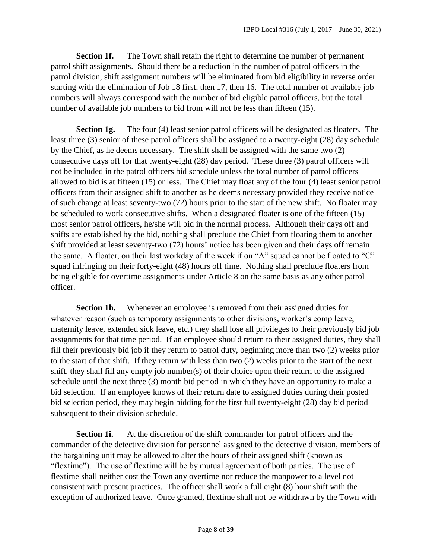**Section 1f.** The Town shall retain the right to determine the number of permanent patrol shift assignments. Should there be a reduction in the number of patrol officers in the patrol division, shift assignment numbers will be eliminated from bid eligibility in reverse order starting with the elimination of Job 18 first, then 17, then 16. The total number of available job numbers will always correspond with the number of bid eligible patrol officers, but the total number of available job numbers to bid from will not be less than fifteen (15).

**Section 1g.** The four (4) least senior patrol officers will be designated as floaters. The least three (3) senior of these patrol officers shall be assigned to a twenty-eight (28) day schedule by the Chief, as he deems necessary. The shift shall be assigned with the same two (2) consecutive days off for that twenty-eight (28) day period. These three (3) patrol officers will not be included in the patrol officers bid schedule unless the total number of patrol officers allowed to bid is at fifteen (15) or less. The Chief may float any of the four (4) least senior patrol officers from their assigned shift to another as he deems necessary provided they receive notice of such change at least seventy-two (72) hours prior to the start of the new shift. No floater may be scheduled to work consecutive shifts. When a designated floater is one of the fifteen (15) most senior patrol officers, he/she will bid in the normal process. Although their days off and shifts are established by the bid, nothing shall preclude the Chief from floating them to another shift provided at least seventy-two (72) hours' notice has been given and their days off remain the same. A floater, on their last workday of the week if on "A" squad cannot be floated to "C" squad infringing on their forty-eight (48) hours off time. Nothing shall preclude floaters from being eligible for overtime assignments under Article 8 on the same basis as any other patrol officer.

**Section 1h.** Whenever an employee is removed from their assigned duties for whatever reason (such as temporary assignments to other divisions, worker's comp leave, maternity leave, extended sick leave, etc.) they shall lose all privileges to their previously bid job assignments for that time period. If an employee should return to their assigned duties, they shall fill their previously bid job if they return to patrol duty, beginning more than two (2) weeks prior to the start of that shift. If they return with less than two (2) weeks prior to the start of the next shift, they shall fill any empty job number(s) of their choice upon their return to the assigned schedule until the next three (3) month bid period in which they have an opportunity to make a bid selection. If an employee knows of their return date to assigned duties during their posted bid selection period, they may begin bidding for the first full twenty-eight (28) day bid period subsequent to their division schedule.

**Section 1i.** At the discretion of the shift commander for patrol officers and the commander of the detective division for personnel assigned to the detective division, members of the bargaining unit may be allowed to alter the hours of their assigned shift (known as "flextime"). The use of flextime will be by mutual agreement of both parties. The use of flextime shall neither cost the Town any overtime nor reduce the manpower to a level not consistent with present practices. The officer shall work a full eight (8) hour shift with the exception of authorized leave. Once granted, flextime shall not be withdrawn by the Town with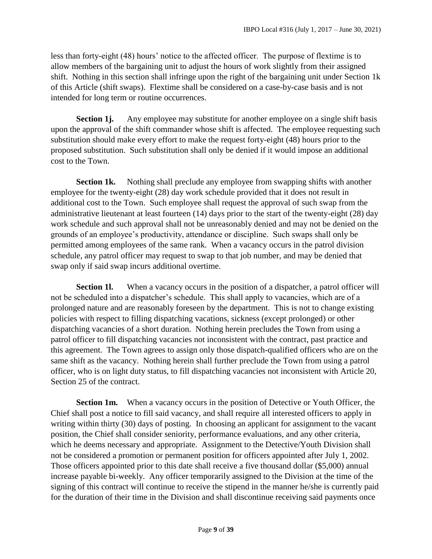less than forty-eight (48) hours' notice to the affected officer. The purpose of flextime is to allow members of the bargaining unit to adjust the hours of work slightly from their assigned shift. Nothing in this section shall infringe upon the right of the bargaining unit under Section 1k of this Article (shift swaps). Flextime shall be considered on a case-by-case basis and is not intended for long term or routine occurrences.

**Section 1j.** Any employee may substitute for another employee on a single shift basis upon the approval of the shift commander whose shift is affected. The employee requesting such substitution should make every effort to make the request forty-eight (48) hours prior to the proposed substitution. Such substitution shall only be denied if it would impose an additional cost to the Town.

**Section 1k.** Nothing shall preclude any employee from swapping shifts with another employee for the twenty-eight (28) day work schedule provided that it does not result in additional cost to the Town. Such employee shall request the approval of such swap from the administrative lieutenant at least fourteen (14) days prior to the start of the twenty-eight (28) day work schedule and such approval shall not be unreasonably denied and may not be denied on the grounds of an employee's productivity, attendance or discipline. Such swaps shall only be permitted among employees of the same rank. When a vacancy occurs in the patrol division schedule, any patrol officer may request to swap to that job number, and may be denied that swap only if said swap incurs additional overtime.

**Section 11.** When a vacancy occurs in the position of a dispatcher, a patrol officer will not be scheduled into a dispatcher's schedule. This shall apply to vacancies, which are of a prolonged nature and are reasonably foreseen by the department. This is not to change existing policies with respect to filling dispatching vacations, sickness (except prolonged) or other dispatching vacancies of a short duration. Nothing herein precludes the Town from using a patrol officer to fill dispatching vacancies not inconsistent with the contract, past practice and this agreement. The Town agrees to assign only those dispatch-qualified officers who are on the same shift as the vacancy. Nothing herein shall further preclude the Town from using a patrol officer, who is on light duty status, to fill dispatching vacancies not inconsistent with Article 20, Section 25 of the contract.

**Section 1m.** When a vacancy occurs in the position of Detective or Youth Officer, the Chief shall post a notice to fill said vacancy, and shall require all interested officers to apply in writing within thirty (30) days of posting. In choosing an applicant for assignment to the vacant position, the Chief shall consider seniority, performance evaluations, and any other criteria, which he deems necessary and appropriate. Assignment to the Detective/Youth Division shall not be considered a promotion or permanent position for officers appointed after July 1, 2002. Those officers appointed prior to this date shall receive a five thousand dollar (\$5,000) annual increase payable bi-weekly. Any officer temporarily assigned to the Division at the time of the signing of this contract will continue to receive the stipend in the manner he/she is currently paid for the duration of their time in the Division and shall discontinue receiving said payments once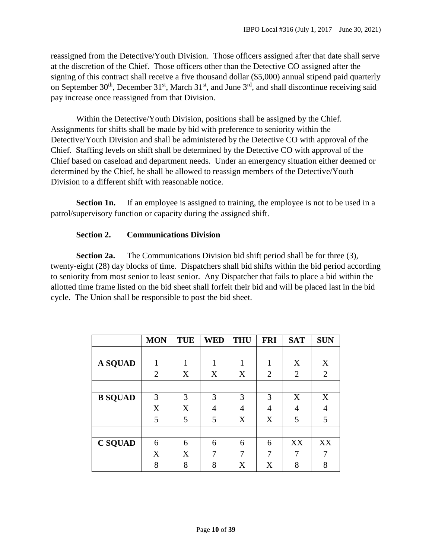reassigned from the Detective/Youth Division. Those officers assigned after that date shall serve at the discretion of the Chief. Those officers other than the Detective CO assigned after the signing of this contract shall receive a five thousand dollar (\$5,000) annual stipend paid quarterly on September  $30<sup>th</sup>$ , December  $31<sup>st</sup>$ , March  $31<sup>st</sup>$ , and June  $3<sup>rd</sup>$ , and shall discontinue receiving said pay increase once reassigned from that Division.

Within the Detective/Youth Division, positions shall be assigned by the Chief. Assignments for shifts shall be made by bid with preference to seniority within the Detective/Youth Division and shall be administered by the Detective CO with approval of the Chief. Staffing levels on shift shall be determined by the Detective CO with approval of the Chief based on caseload and department needs. Under an emergency situation either deemed or determined by the Chief, he shall be allowed to reassign members of the Detective/Youth Division to a different shift with reasonable notice.

**Section 1n.** If an employee is assigned to training, the employee is not to be used in a patrol/supervisory function or capacity during the assigned shift.

#### **Section 2. Communications Division**

**Section 2a.** The Communications Division bid shift period shall be for three (3), twenty-eight (28) day blocks of time. Dispatchers shall bid shifts within the bid period according to seniority from most senior to least senior. Any Dispatcher that fails to place a bid within the allotted time frame listed on the bid sheet shall forfeit their bid and will be placed last in the bid cycle. The Union shall be responsible to post the bid sheet.

|                | <b>MON</b>     | <b>TUE</b> | <b>WED</b>     | <b>THU</b> | <b>FRI</b>     | <b>SAT</b>     | <b>SUN</b>     |
|----------------|----------------|------------|----------------|------------|----------------|----------------|----------------|
|                |                |            |                |            |                |                |                |
| A SQUAD        |                | 1          | 1              |            | 1              | X              | X              |
|                | $\overline{2}$ | X          | X              | X          | $\overline{2}$ | $\overline{2}$ | $\overline{2}$ |
|                |                |            |                |            |                |                |                |
| <b>B SQUAD</b> | 3              | 3          | 3              | 3          | 3              | X              | X              |
|                | X              | X          | $\overline{4}$ | 4          | 4              | 4              | 4              |
|                | 5              | 5          | 5              | X          | X              | 5              | 5              |
|                |                |            |                |            |                |                |                |
| <b>C SQUAD</b> | 6              | 6          | 6              | 6          | 6              | XX             | XX             |
|                | X              | X          | 7              | 7          | 7              |                |                |
|                | 8              | 8          | 8              | X          | X              | 8              | 8              |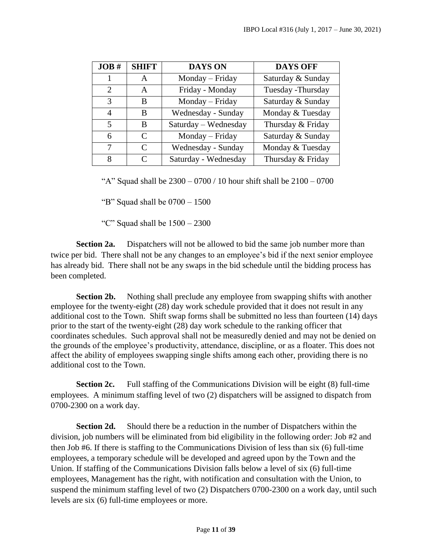| JOB#                        | <b>SHIFT</b>                | <b>DAYS ON</b>       | <b>DAYS OFF</b>    |
|-----------------------------|-----------------------------|----------------------|--------------------|
| 1                           | A                           | Monday - Friday      | Saturday & Sunday  |
| $\mathcal{D}_{\mathcal{L}}$ | A                           | Friday - Monday      | Tuesday - Thursday |
| 3                           | B                           | Monday - Friday      | Saturday & Sunday  |
| 4                           | B                           | Wednesday - Sunday   | Monday & Tuesday   |
| 5                           | R                           | Saturday – Wednesday | Thursday & Friday  |
| 6                           | $\mathcal{C}_{\mathcal{C}}$ | Monday – Friday      | Saturday & Sunday  |
| 7                           | $\mathcal{C}_{\mathcal{C}}$ | Wednesday - Sunday   | Monday & Tuesday   |
| 8                           | $\mathcal{C}_{\mathcal{C}}$ | Saturday - Wednesday | Thursday & Friday  |

"A" Squad shall be  $2300 - 0700 / 10$  hour shift shall be  $2100 - 0700$ 

"B" Squad shall be  $0700 - 1500$ 

"C" Squad shall be 1500 – 2300

**Section 2a.** Dispatchers will not be allowed to bid the same job number more than twice per bid. There shall not be any changes to an employee's bid if the next senior employee has already bid. There shall not be any swaps in the bid schedule until the bidding process has been completed.

**Section 2b.** Nothing shall preclude any employee from swapping shifts with another employee for the twenty-eight (28) day work schedule provided that it does not result in any additional cost to the Town. Shift swap forms shall be submitted no less than fourteen (14) days prior to the start of the twenty-eight (28) day work schedule to the ranking officer that coordinates schedules. Such approval shall not be measuredly denied and may not be denied on the grounds of the employee's productivity, attendance, discipline, or as a floater. This does not affect the ability of employees swapping single shifts among each other, providing there is no additional cost to the Town.

**Section 2c.** Full staffing of the Communications Division will be eight (8) full-time employees. A minimum staffing level of two (2) dispatchers will be assigned to dispatch from 0700-2300 on a work day.

**Section 2d.** Should there be a reduction in the number of Dispatchers within the division, job numbers will be eliminated from bid eligibility in the following order: Job #2 and then Job #6. If there is staffing to the Communications Division of less than six (6) full-time employees, a temporary schedule will be developed and agreed upon by the Town and the Union. If staffing of the Communications Division falls below a level of six (6) full-time employees, Management has the right, with notification and consultation with the Union, to suspend the minimum staffing level of two (2) Dispatchers 0700-2300 on a work day, until such levels are six (6) full-time employees or more.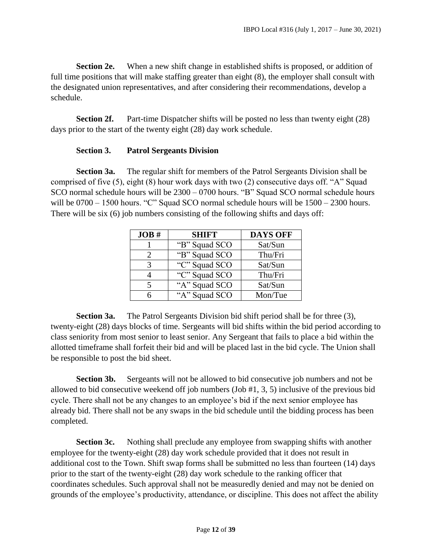**Section 2e.** When a new shift change in established shifts is proposed, or addition of full time positions that will make staffing greater than eight (8), the employer shall consult with the designated union representatives, and after considering their recommendations, develop a schedule.

**Section 2f.** Part-time Dispatcher shifts will be posted no less than twenty eight (28) days prior to the start of the twenty eight (28) day work schedule.

#### **Section 3. Patrol Sergeants Division**

**Section 3a.** The regular shift for members of the Patrol Sergeants Division shall be comprised of five (5), eight (8) hour work days with two (2) consecutive days off. "A" Squad SCO normal schedule hours will be 2300 – 0700 hours. "B" Squad SCO normal schedule hours will be  $0700 - 1500$  hours. "C" Squad SCO normal schedule hours will be  $1500 - 2300$  hours. There will be six (6) job numbers consisting of the following shifts and days off:

| JOB# | <b>SHIFT</b>  | <b>DAYS OFF</b> |
|------|---------------|-----------------|
|      | "B" Squad SCO | Sat/Sun         |
|      | "B" Squad SCO | Thu/Fri         |
| 3    | "C" Squad SCO | Sat/Sun         |
|      | "C" Squad SCO | Thu/Fri         |
| 5    | "A" Squad SCO | Sat/Sun         |
|      | "A" Squad SCO | Mon/Tue         |

**Section 3a.** The Patrol Sergeants Division bid shift period shall be for three (3), twenty-eight (28) days blocks of time. Sergeants will bid shifts within the bid period according to class seniority from most senior to least senior. Any Sergeant that fails to place a bid within the allotted timeframe shall forfeit their bid and will be placed last in the bid cycle. The Union shall be responsible to post the bid sheet.

**Section 3b.** Sergeants will not be allowed to bid consecutive job numbers and not be allowed to bid consecutive weekend off job numbers (Job #1, 3, 5) inclusive of the previous bid cycle. There shall not be any changes to an employee's bid if the next senior employee has already bid. There shall not be any swaps in the bid schedule until the bidding process has been completed.

**Section 3c.** Nothing shall preclude any employee from swapping shifts with another employee for the twenty-eight (28) day work schedule provided that it does not result in additional cost to the Town. Shift swap forms shall be submitted no less than fourteen (14) days prior to the start of the twenty-eight (28) day work schedule to the ranking officer that coordinates schedules. Such approval shall not be measuredly denied and may not be denied on grounds of the employee's productivity, attendance, or discipline. This does not affect the ability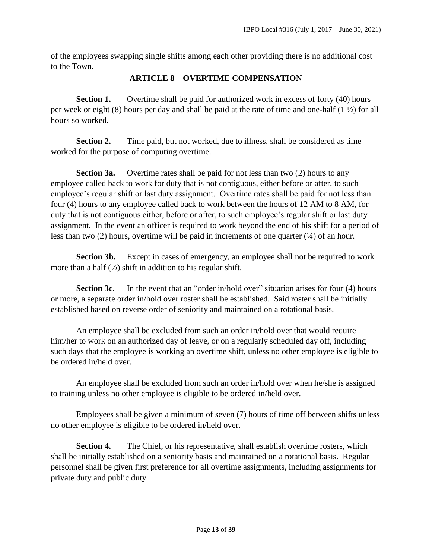<span id="page-12-0"></span>of the employees swapping single shifts among each other providing there is no additional cost to the Town.

#### **ARTICLE 8 – OVERTIME COMPENSATION**

**Section 1.** Overtime shall be paid for authorized work in excess of forty (40) hours per week or eight (8) hours per day and shall be paid at the rate of time and one-half (1 ½) for all hours so worked.

**Section 2.** Time paid, but not worked, due to illness, shall be considered as time worked for the purpose of computing overtime.

**Section 3a.** Overtime rates shall be paid for not less than two (2) hours to any employee called back to work for duty that is not contiguous, either before or after, to such employee's regular shift or last duty assignment. Overtime rates shall be paid for not less than four (4) hours to any employee called back to work between the hours of 12 AM to 8 AM, for duty that is not contiguous either, before or after, to such employee's regular shift or last duty assignment. In the event an officer is required to work beyond the end of his shift for a period of less than two (2) hours, overtime will be paid in increments of one quarter  $(½)$  of an hour.

**Section 3b.** Except in cases of emergency, an employee shall not be required to work more than a half  $(\frac{1}{2})$  shift in addition to his regular shift.

**Section 3c.** In the event that an "order in/hold over" situation arises for four (4) hours or more, a separate order in/hold over roster shall be established. Said roster shall be initially established based on reverse order of seniority and maintained on a rotational basis.

An employee shall be excluded from such an order in/hold over that would require him/her to work on an authorized day of leave, or on a regularly scheduled day off, including such days that the employee is working an overtime shift, unless no other employee is eligible to be ordered in/held over.

An employee shall be excluded from such an order in/hold over when he/she is assigned to training unless no other employee is eligible to be ordered in/held over.

Employees shall be given a minimum of seven (7) hours of time off between shifts unless no other employee is eligible to be ordered in/held over.

**Section 4.** The Chief, or his representative, shall establish overtime rosters, which shall be initially established on a seniority basis and maintained on a rotational basis. Regular personnel shall be given first preference for all overtime assignments, including assignments for private duty and public duty.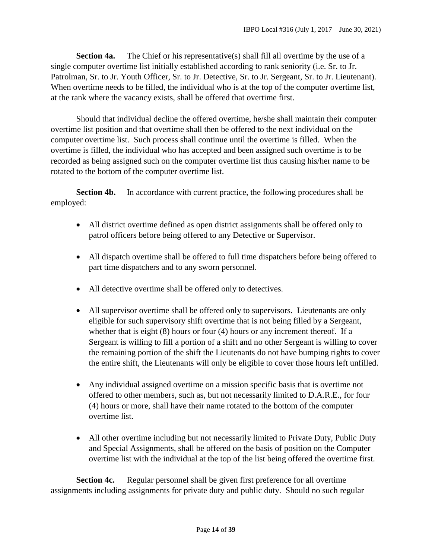**Section 4a.** The Chief or his representative(s) shall fill all overtime by the use of a single computer overtime list initially established according to rank seniority (i.e. Sr. to Jr. Patrolman, Sr. to Jr. Youth Officer, Sr. to Jr. Detective, Sr. to Jr. Sergeant, Sr. to Jr. Lieutenant). When overtime needs to be filled, the individual who is at the top of the computer overtime list, at the rank where the vacancy exists, shall be offered that overtime first.

Should that individual decline the offered overtime, he/she shall maintain their computer overtime list position and that overtime shall then be offered to the next individual on the computer overtime list. Such process shall continue until the overtime is filled. When the overtime is filled, the individual who has accepted and been assigned such overtime is to be recorded as being assigned such on the computer overtime list thus causing his/her name to be rotated to the bottom of the computer overtime list.

**Section 4b.** In accordance with current practice, the following procedures shall be employed:

- All district overtime defined as open district assignments shall be offered only to patrol officers before being offered to any Detective or Supervisor.
- All dispatch overtime shall be offered to full time dispatchers before being offered to part time dispatchers and to any sworn personnel.
- All detective overtime shall be offered only to detectives.
- All supervisor overtime shall be offered only to supervisors. Lieutenants are only eligible for such supervisory shift overtime that is not being filled by a Sergeant, whether that is eight (8) hours or four (4) hours or any increment thereof. If a Sergeant is willing to fill a portion of a shift and no other Sergeant is willing to cover the remaining portion of the shift the Lieutenants do not have bumping rights to cover the entire shift, the Lieutenants will only be eligible to cover those hours left unfilled.
- Any individual assigned overtime on a mission specific basis that is overtime not offered to other members, such as, but not necessarily limited to D.A.R.E., for four (4) hours or more, shall have their name rotated to the bottom of the computer overtime list.
- All other overtime including but not necessarily limited to Private Duty, Public Duty and Special Assignments, shall be offered on the basis of position on the Computer overtime list with the individual at the top of the list being offered the overtime first.

**Section 4c.** Regular personnel shall be given first preference for all overtime assignments including assignments for private duty and public duty. Should no such regular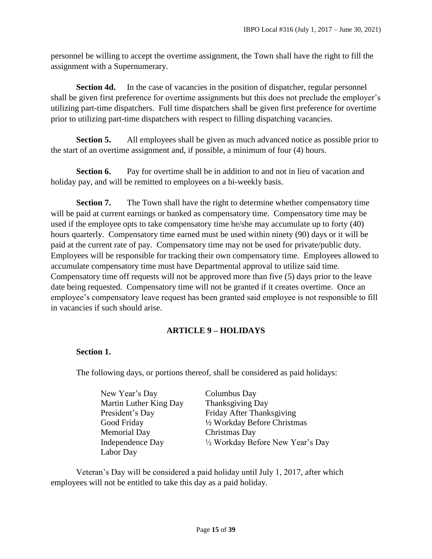personnel be willing to accept the overtime assignment, the Town shall have the right to fill the assignment with a Supernumerary.

**Section 4d.** In the case of vacancies in the position of dispatcher, regular personnel shall be given first preference for overtime assignments but this does not preclude the employer's utilizing part-time dispatchers. Full time dispatchers shall be given first preference for overtime prior to utilizing part-time dispatchers with respect to filling dispatching vacancies.

**Section 5.** All employees shall be given as much advanced notice as possible prior to the start of an overtime assignment and, if possible, a minimum of four (4) hours.

**Section 6.** Pay for overtime shall be in addition to and not in lieu of vacation and holiday pay, and will be remitted to employees on a bi-weekly basis.

**Section 7.** The Town shall have the right to determine whether compensatory time will be paid at current earnings or banked as compensatory time. Compensatory time may be used if the employee opts to take compensatory time he/she may accumulate up to forty (40) hours quarterly. Compensatory time earned must be used within ninety (90) days or it will be paid at the current rate of pay. Compensatory time may not be used for private/public duty. Employees will be responsible for tracking their own compensatory time. Employees allowed to accumulate compensatory time must have Departmental approval to utilize said time. Compensatory time off requests will not be approved more than five (5) days prior to the leave date being requested. Compensatory time will not be granted if it creates overtime. Once an employee's compensatory leave request has been granted said employee is not responsible to fill in vacancies if such should arise.

#### **ARTICLE 9 – HOLIDAYS**

#### <span id="page-14-0"></span>**Section 1.**

The following days, or portions thereof, shall be considered as paid holidays:

| New Year's Day          | Columbus Day                      |
|-------------------------|-----------------------------------|
| Martin Luther King Day  | Thanksgiving Day                  |
| President's Day         | Friday After Thanksgiving         |
| Good Friday             | 1/2 Workday Before Christmas      |
| <b>Memorial Day</b>     | Christmas Day                     |
| <b>Independence Day</b> | 1/2 Workday Before New Year's Day |
| Labor Day               |                                   |

Veteran's Day will be considered a paid holiday until July 1, 2017, after which employees will not be entitled to take this day as a paid holiday.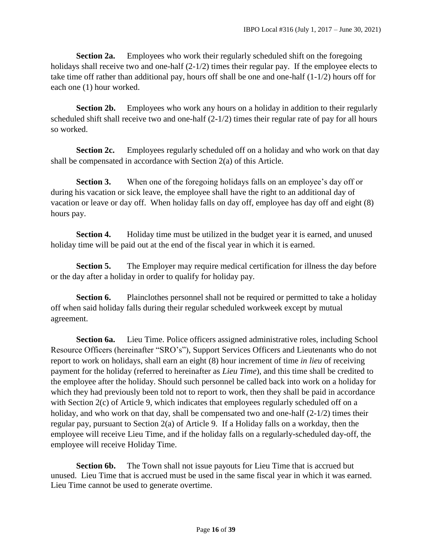**Section 2a.** Employees who work their regularly scheduled shift on the foregoing holidays shall receive two and one-half (2-1/2) times their regular pay. If the employee elects to take time off rather than additional pay, hours off shall be one and one-half (1-1/2) hours off for each one (1) hour worked.

**Section 2b.** Employees who work any hours on a holiday in addition to their regularly scheduled shift shall receive two and one-half  $(2-1/2)$  times their regular rate of pay for all hours so worked.

**Section 2c.** Employees regularly scheduled off on a holiday and who work on that day shall be compensated in accordance with Section 2(a) of this Article.

**Section 3.** When one of the foregoing holidays falls on an employee's day off or during his vacation or sick leave, the employee shall have the right to an additional day of vacation or leave or day off. When holiday falls on day off, employee has day off and eight (8) hours pay.

**Section 4.** Holiday time must be utilized in the budget year it is earned, and unused holiday time will be paid out at the end of the fiscal year in which it is earned.

**Section 5.** The Employer may require medical certification for illness the day before or the day after a holiday in order to qualify for holiday pay.

**Section 6.** Plainclothes personnel shall not be required or permitted to take a holiday off when said holiday falls during their regular scheduled workweek except by mutual agreement.

**Section 6a.** Lieu Time. Police officers assigned administrative roles, including School Resource Officers (hereinafter "SRO's"), Support Services Officers and Lieutenants who do not report to work on holidays, shall earn an eight (8) hour increment of time *in lieu* of receiving payment for the holiday (referred to hereinafter as *Lieu Time*), and this time shall be credited to the employee after the holiday. Should such personnel be called back into work on a holiday for which they had previously been told not to report to work, then they shall be paid in accordance with Section 2(c) of Article 9, which indicates that employees regularly scheduled off on a holiday, and who work on that day, shall be compensated two and one-half  $(2-1/2)$  times their regular pay, pursuant to Section 2(a) of Article 9. If a Holiday falls on a workday, then the employee will receive Lieu Time, and if the holiday falls on a regularly-scheduled day-off, the employee will receive Holiday Time.

**Section 6b.** The Town shall not issue payouts for Lieu Time that is accrued but unused. Lieu Time that is accrued must be used in the same fiscal year in which it was earned. Lieu Time cannot be used to generate overtime.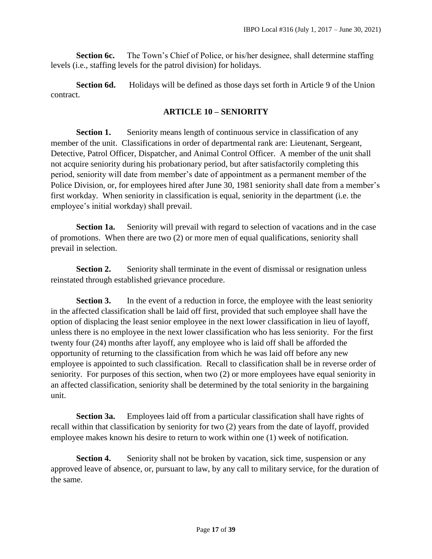**Section 6c.** The Town's Chief of Police, or his/her designee, shall determine staffing levels (i.e., staffing levels for the patrol division) for holidays.

**Section 6d.** Holidays will be defined as those days set forth in Article 9 of the Union contract.

#### **ARTICLE 10 – SENIORITY**

<span id="page-16-0"></span>**Section 1.** Seniority means length of continuous service in classification of any member of the unit. Classifications in order of departmental rank are: Lieutenant, Sergeant, Detective, Patrol Officer, Dispatcher, and Animal Control Officer. A member of the unit shall not acquire seniority during his probationary period, but after satisfactorily completing this period, seniority will date from member's date of appointment as a permanent member of the Police Division, or, for employees hired after June 30, 1981 seniority shall date from a member's first workday. When seniority in classification is equal, seniority in the department (i.e. the employee's initial workday) shall prevail.

Section 1a. Seniority will prevail with regard to selection of vacations and in the case of promotions. When there are two (2) or more men of equal qualifications, seniority shall prevail in selection.

**Section 2.** Seniority shall terminate in the event of dismissal or resignation unless reinstated through established grievance procedure.

**Section 3.** In the event of a reduction in force, the employee with the least seniority in the affected classification shall be laid off first, provided that such employee shall have the option of displacing the least senior employee in the next lower classification in lieu of layoff, unless there is no employee in the next lower classification who has less seniority. For the first twenty four (24) months after layoff, any employee who is laid off shall be afforded the opportunity of returning to the classification from which he was laid off before any new employee is appointed to such classification. Recall to classification shall be in reverse order of seniority. For purposes of this section, when two (2) or more employees have equal seniority in an affected classification, seniority shall be determined by the total seniority in the bargaining unit.

**Section 3a.** Employees laid off from a particular classification shall have rights of recall within that classification by seniority for two (2) years from the date of layoff, provided employee makes known his desire to return to work within one (1) week of notification.

**Section 4.** Seniority shall not be broken by vacation, sick time, suspension or any approved leave of absence, or, pursuant to law, by any call to military service, for the duration of the same.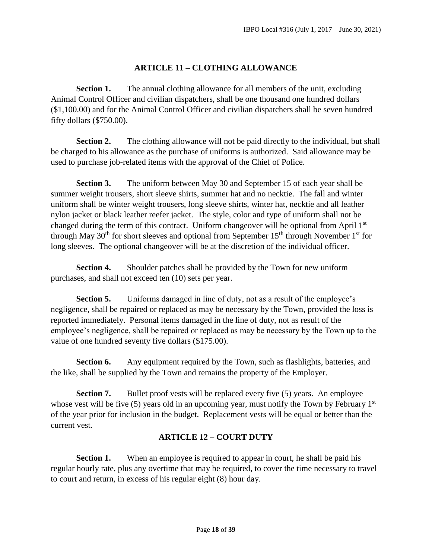#### **ARTICLE 11 – CLOTHING ALLOWANCE**

<span id="page-17-0"></span>**Section 1.** The annual clothing allowance for all members of the unit, excluding Animal Control Officer and civilian dispatchers, shall be one thousand one hundred dollars (\$1,100.00) and for the Animal Control Officer and civilian dispatchers shall be seven hundred fifty dollars (\$750.00).

**Section 2.** The clothing allowance will not be paid directly to the individual, but shall be charged to his allowance as the purchase of uniforms is authorized. Said allowance may be used to purchase job-related items with the approval of the Chief of Police.

**Section 3.** The uniform between May 30 and September 15 of each year shall be summer weight trousers, short sleeve shirts, summer hat and no necktie. The fall and winter uniform shall be winter weight trousers, long sleeve shirts, winter hat, necktie and all leather nylon jacket or black leather reefer jacket. The style, color and type of uniform shall not be changed during the term of this contract. Uniform changeover will be optional from April 1<sup>st</sup> through May  $30<sup>th</sup>$  for short sleeves and optional from September  $15<sup>th</sup>$  through November  $1<sup>st</sup>$  for long sleeves. The optional changeover will be at the discretion of the individual officer.

**Section 4.** Shoulder patches shall be provided by the Town for new uniform purchases, and shall not exceed ten (10) sets per year.

**Section 5.** Uniforms damaged in line of duty, not as a result of the employee's negligence, shall be repaired or replaced as may be necessary by the Town, provided the loss is reported immediately. Personal items damaged in the line of duty, not as result of the employee's negligence, shall be repaired or replaced as may be necessary by the Town up to the value of one hundred seventy five dollars (\$175.00).

**Section 6.** Any equipment required by the Town, such as flashlights, batteries, and the like, shall be supplied by the Town and remains the property of the Employer.

**Section 7.** Bullet proof vests will be replaced every five (5) years. An employee whose vest will be five  $(5)$  years old in an upcoming year, must notify the Town by February 1<sup>st</sup> of the year prior for inclusion in the budget. Replacement vests will be equal or better than the current vest.

#### **ARTICLE 12 – COURT DUTY**

<span id="page-17-1"></span>**Section 1.** When an employee is required to appear in court, he shall be paid his regular hourly rate, plus any overtime that may be required, to cover the time necessary to travel to court and return, in excess of his regular eight (8) hour day.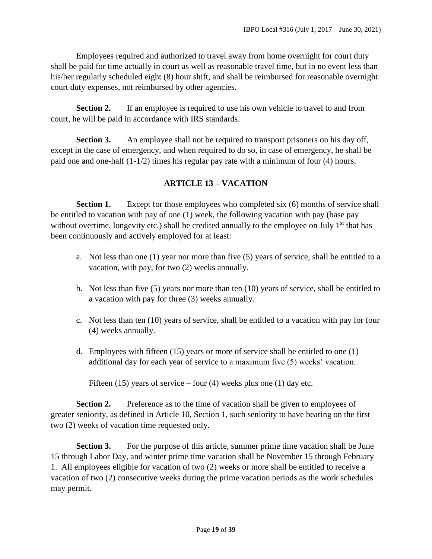Employees required and authorized to travel away from home overnight for court duty shall be paid for time actually in court as well as reasonable travel time, but in no event less than his/her regularly scheduled eight (8) hour shift, and shall be reimbursed for reasonable overnight court duty expenses, not reimbursed by other agencies.

**Section 2.** If an employee is required to use his own vehicle to travel to and from court, he will be paid in accordance with IRS standards.

**Section 3.** An employee shall not be required to transport prisoners on his day off, except in the case of emergency, and when required to do so, in case of emergency, he shall be paid one and one-half (1-1/2) times his regular pay rate with a minimum of four (4) hours.

#### **ARTICLE 13 – VACATION**

<span id="page-18-0"></span>**Section 1.** Except for those employees who completed six (6) months of service shall be entitled to vacation with pay of one (1) week, the following vacation with pay (base pay without overtime, longevity etc.) shall be credited annually to the employee on July  $1<sup>st</sup>$  that has been continuously and actively employed for at least:

- a. Not less than one (1) year nor more than five (5) years of service, shall be entitled to a vacation, with pay, for two (2) weeks annually.
- b. Not less than five (5) years nor more than ten (10) years of service, shall be entitled to a vacation with pay for three (3) weeks annually.
- c. Not less than ten (10) years of service, shall be entitled to a vacation with pay for four (4) weeks annually.
- d. Employees with fifteen (15) years or more of service shall be entitled to one (1) additional day for each year of service to a maximum five (5) weeks' vacation.

Fifteen (15) years of service – four (4) weeks plus one (1) day etc.

**Section 2.** Preference as to the time of vacation shall be given to employees of greater seniority, as defined in Article 10, Section 1, such seniority to have bearing on the first two (2) weeks of vacation time requested only.

**Section 3.** For the purpose of this article, summer prime time vacation shall be June 15 through Labor Day, and winter prime time vacation shall be November 15 through February 1. All employees eligible for vacation of two (2) weeks or more shall be entitled to receive a vacation of two (2) consecutive weeks during the prime vacation periods as the work schedules may permit.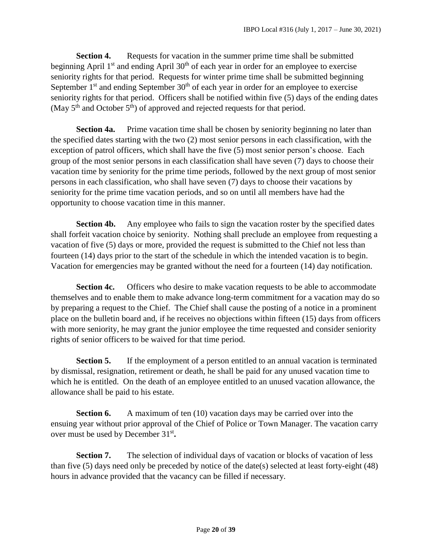**Section 4.** Requests for vacation in the summer prime time shall be submitted beginning April 1<sup>st</sup> and ending April 30<sup>th</sup> of each year in order for an employee to exercise seniority rights for that period. Requests for winter prime time shall be submitted beginning September  $1<sup>st</sup>$  and ending September  $30<sup>th</sup>$  of each year in order for an employee to exercise seniority rights for that period. Officers shall be notified within five (5) days of the ending dates (May  $5<sup>th</sup>$  and October  $5<sup>th</sup>$ ) of approved and rejected requests for that period.

**Section 4a.** Prime vacation time shall be chosen by seniority beginning no later than the specified dates starting with the two (2) most senior persons in each classification, with the exception of patrol officers, which shall have the five (5) most senior person's choose. Each group of the most senior persons in each classification shall have seven (7) days to choose their vacation time by seniority for the prime time periods, followed by the next group of most senior persons in each classification, who shall have seven (7) days to choose their vacations by seniority for the prime time vacation periods, and so on until all members have had the opportunity to choose vacation time in this manner.

**Section 4b.** Any employee who fails to sign the vacation roster by the specified dates shall forfeit vacation choice by seniority. Nothing shall preclude an employee from requesting a vacation of five (5) days or more, provided the request is submitted to the Chief not less than fourteen (14) days prior to the start of the schedule in which the intended vacation is to begin. Vacation for emergencies may be granted without the need for a fourteen (14) day notification.

**Section 4c.** Officers who desire to make vacation requests to be able to accommodate themselves and to enable them to make advance long-term commitment for a vacation may do so by preparing a request to the Chief. The Chief shall cause the posting of a notice in a prominent place on the bulletin board and, if he receives no objections within fifteen (15) days from officers with more seniority, he may grant the junior employee the time requested and consider seniority rights of senior officers to be waived for that time period.

**Section 5.** If the employment of a person entitled to an annual vacation is terminated by dismissal, resignation, retirement or death, he shall be paid for any unused vacation time to which he is entitled. On the death of an employee entitled to an unused vacation allowance, the allowance shall be paid to his estate.

**Section 6.** A maximum of ten (10) vacation days may be carried over into the ensuing year without prior approval of the Chief of Police or Town Manager. The vacation carry over must be used by December 31<sup>st</sup>.

**Section 7.** The selection of individual days of vacation or blocks of vacation of less than five (5) days need only be preceded by notice of the date(s) selected at least forty-eight (48) hours in advance provided that the vacancy can be filled if necessary.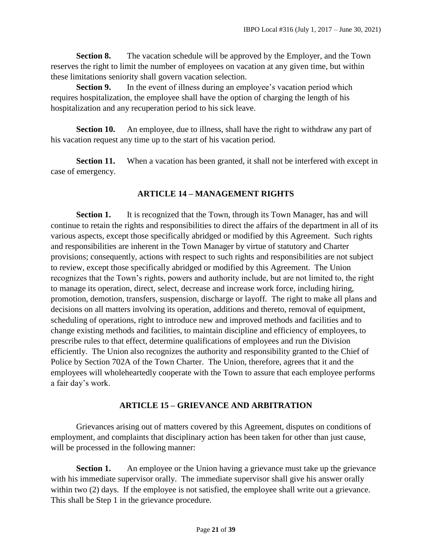**Section 8.** The vacation schedule will be approved by the Employer, and the Town reserves the right to limit the number of employees on vacation at any given time, but within these limitations seniority shall govern vacation selection.

**Section 9.** In the event of illness during an employee's vacation period which requires hospitalization, the employee shall have the option of charging the length of his hospitalization and any recuperation period to his sick leave.

**Section 10.** An employee, due to illness, shall have the right to withdraw any part of his vacation request any time up to the start of his vacation period.

**Section 11.** When a vacation has been granted, it shall not be interfered with except in case of emergency.

#### **ARTICLE 14 – MANAGEMENT RIGHTS**

<span id="page-20-0"></span>**Section 1.** It is recognized that the Town, through its Town Manager, has and will continue to retain the rights and responsibilities to direct the affairs of the department in all of its various aspects, except those specifically abridged or modified by this Agreement. Such rights and responsibilities are inherent in the Town Manager by virtue of statutory and Charter provisions; consequently, actions with respect to such rights and responsibilities are not subject to review, except those specifically abridged or modified by this Agreement. The Union recognizes that the Town's rights, powers and authority include, but are not limited to, the right to manage its operation, direct, select, decrease and increase work force, including hiring, promotion, demotion, transfers, suspension, discharge or layoff. The right to make all plans and decisions on all matters involving its operation, additions and thereto, removal of equipment, scheduling of operations, right to introduce new and improved methods and facilities and to change existing methods and facilities, to maintain discipline and efficiency of employees, to prescribe rules to that effect, determine qualifications of employees and run the Division efficiently. The Union also recognizes the authority and responsibility granted to the Chief of Police by Section 702A of the Town Charter. The Union, therefore, agrees that it and the employees will wholeheartedly cooperate with the Town to assure that each employee performs a fair day's work.

#### **ARTICLE 15 – GRIEVANCE AND ARBITRATION**

<span id="page-20-1"></span>Grievances arising out of matters covered by this Agreement, disputes on conditions of employment, and complaints that disciplinary action has been taken for other than just cause, will be processed in the following manner:

**Section 1.** An employee or the Union having a grievance must take up the grievance with his immediate supervisor orally. The immediate supervisor shall give his answer orally within two (2) days. If the employee is not satisfied, the employee shall write out a grievance. This shall be Step 1 in the grievance procedure.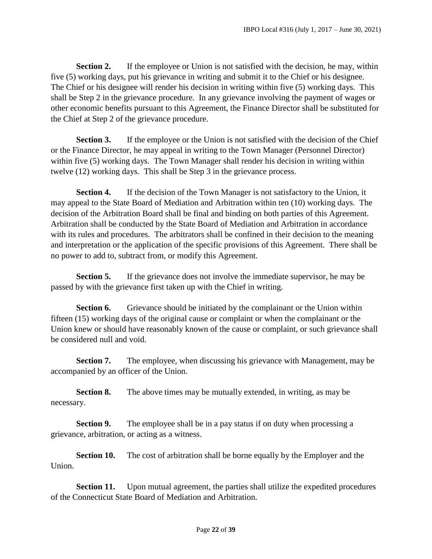**Section 2.** If the employee or Union is not satisfied with the decision, he may, within five (5) working days, put his grievance in writing and submit it to the Chief or his designee. The Chief or his designee will render his decision in writing within five (5) working days. This shall be Step 2 in the grievance procedure. In any grievance involving the payment of wages or other economic benefits pursuant to this Agreement, the Finance Director shall be substituted for the Chief at Step 2 of the grievance procedure.

**Section 3.** If the employee or the Union is not satisfied with the decision of the Chief or the Finance Director, he may appeal in writing to the Town Manager (Personnel Director) within five (5) working days. The Town Manager shall render his decision in writing within twelve (12) working days. This shall be Step 3 in the grievance process.

**Section 4.** If the decision of the Town Manager is not satisfactory to the Union, it may appeal to the State Board of Mediation and Arbitration within ten (10) working days. The decision of the Arbitration Board shall be final and binding on both parties of this Agreement. Arbitration shall be conducted by the State Board of Mediation and Arbitration in accordance with its rules and procedures. The arbitrators shall be confined in their decision to the meaning and interpretation or the application of the specific provisions of this Agreement. There shall be no power to add to, subtract from, or modify this Agreement.

**Section 5.** If the grievance does not involve the immediate supervisor, he may be passed by with the grievance first taken up with the Chief in writing.

**Section 6.** Grievance should be initiated by the complainant or the Union within fifteen (15) working days of the original cause or complaint or when the complainant or the Union knew or should have reasonably known of the cause or complaint, or such grievance shall be considered null and void.

**Section 7.** The employee, when discussing his grievance with Management, may be accompanied by an officer of the Union.

**Section 8.** The above times may be mutually extended, in writing, as may be necessary.

**Section 9.** The employee shall be in a pay status if on duty when processing a grievance, arbitration, or acting as a witness.

**Section 10.** The cost of arbitration shall be borne equally by the Employer and the Union.

**Section 11.** Upon mutual agreement, the parties shall utilize the expedited procedures of the Connecticut State Board of Mediation and Arbitration.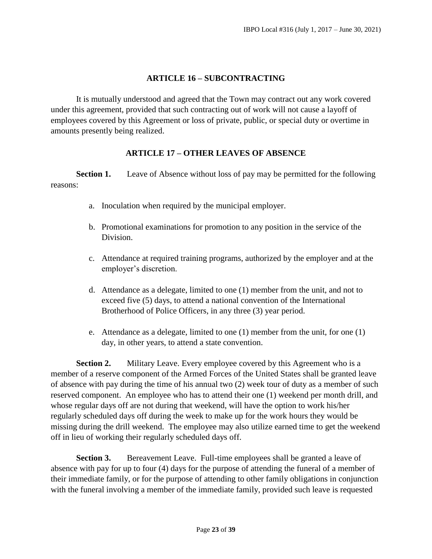#### **ARTICLE 16 – SUBCONTRACTING**

<span id="page-22-0"></span>It is mutually understood and agreed that the Town may contract out any work covered under this agreement, provided that such contracting out of work will not cause a layoff of employees covered by this Agreement or loss of private, public, or special duty or overtime in amounts presently being realized.

#### **ARTICLE 17 – OTHER LEAVES OF ABSENCE**

<span id="page-22-1"></span>**Section 1.** Leave of Absence without loss of pay may be permitted for the following reasons:

- a. Inoculation when required by the municipal employer.
- b. Promotional examinations for promotion to any position in the service of the Division.
- c. Attendance at required training programs, authorized by the employer and at the employer's discretion.
- d. Attendance as a delegate, limited to one (1) member from the unit, and not to exceed five (5) days, to attend a national convention of the International Brotherhood of Police Officers, in any three (3) year period.
- e. Attendance as a delegate, limited to one (1) member from the unit, for one (1) day, in other years, to attend a state convention.

**Section 2.** Military Leave. Every employee covered by this Agreement who is a member of a reserve component of the Armed Forces of the United States shall be granted leave of absence with pay during the time of his annual two (2) week tour of duty as a member of such reserved component. An employee who has to attend their one (1) weekend per month drill, and whose regular days off are not during that weekend, will have the option to work his/her regularly scheduled days off during the week to make up for the work hours they would be missing during the drill weekend. The employee may also utilize earned time to get the weekend off in lieu of working their regularly scheduled days off.

**Section 3.** Bereavement Leave. Full-time employees shall be granted a leave of absence with pay for up to four (4) days for the purpose of attending the funeral of a member of their immediate family, or for the purpose of attending to other family obligations in conjunction with the funeral involving a member of the immediate family, provided such leave is requested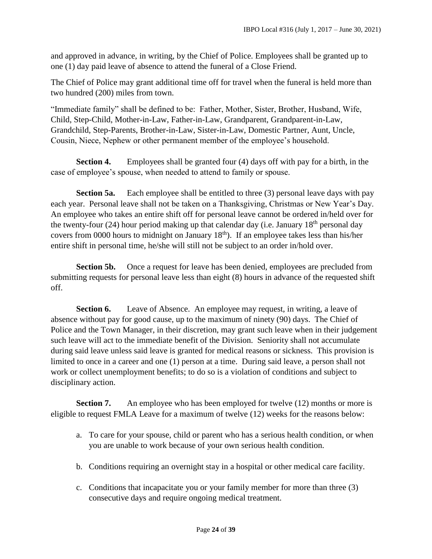and approved in advance, in writing, by the Chief of Police. Employees shall be granted up to one (1) day paid leave of absence to attend the funeral of a Close Friend.

The Chief of Police may grant additional time off for travel when the funeral is held more than two hundred (200) miles from town.

"Immediate family" shall be defined to be: Father, Mother, Sister, Brother, Husband, Wife, Child, Step-Child, Mother-in-Law, Father-in-Law, Grandparent, Grandparent-in-Law, Grandchild, Step-Parents, Brother-in-Law, Sister-in-Law, Domestic Partner, Aunt, Uncle, Cousin, Niece, Nephew or other permanent member of the employee's household.

**Section 4.** Employees shall be granted four (4) days off with pay for a birth, in the case of employee's spouse, when needed to attend to family or spouse.

**Section 5a.** Each employee shall be entitled to three (3) personal leave days with pay each year. Personal leave shall not be taken on a Thanksgiving, Christmas or New Year's Day. An employee who takes an entire shift off for personal leave cannot be ordered in/held over for the twenty-four (24) hour period making up that calendar day (i.e. January  $18<sup>th</sup>$  personal day covers from 0000 hours to midnight on January 18th). If an employee takes less than his/her entire shift in personal time, he/she will still not be subject to an order in/hold over.

**Section 5b.** Once a request for leave has been denied, employees are precluded from submitting requests for personal leave less than eight (8) hours in advance of the requested shift off.

**Section 6.** Leave of Absence. An employee may request, in writing, a leave of absence without pay for good cause, up to the maximum of ninety (90) days. The Chief of Police and the Town Manager, in their discretion, may grant such leave when in their judgement such leave will act to the immediate benefit of the Division. Seniority shall not accumulate during said leave unless said leave is granted for medical reasons or sickness. This provision is limited to once in a career and one (1) person at a time. During said leave, a person shall not work or collect unemployment benefits; to do so is a violation of conditions and subject to disciplinary action.

**Section 7.** An employee who has been employed for twelve (12) months or more is eligible to request FMLA Leave for a maximum of twelve (12) weeks for the reasons below:

- a. To care for your spouse, child or parent who has a serious health condition, or when you are unable to work because of your own serious health condition.
- b. Conditions requiring an overnight stay in a hospital or other medical care facility.
- c. Conditions that incapacitate you or your family member for more than three (3) consecutive days and require ongoing medical treatment.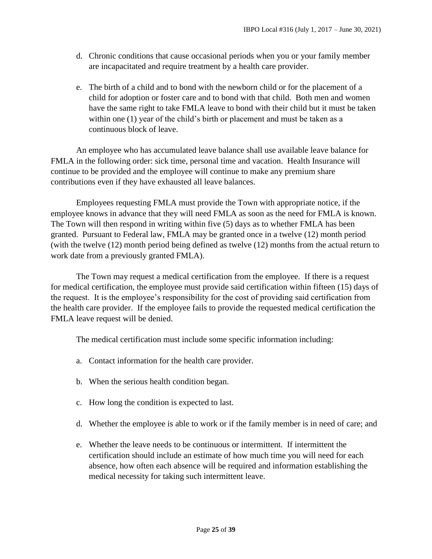- d. Chronic conditions that cause occasional periods when you or your family member are incapacitated and require treatment by a health care provider.
- e. The birth of a child and to bond with the newborn child or for the placement of a child for adoption or foster care and to bond with that child. Both men and women have the same right to take FMLA leave to bond with their child but it must be taken within one (1) year of the child's birth or placement and must be taken as a continuous block of leave.

An employee who has accumulated leave balance shall use available leave balance for FMLA in the following order: sick time, personal time and vacation. Health Insurance will continue to be provided and the employee will continue to make any premium share contributions even if they have exhausted all leave balances.

Employees requesting FMLA must provide the Town with appropriate notice, if the employee knows in advance that they will need FMLA as soon as the need for FMLA is known. The Town will then respond in writing within five (5) days as to whether FMLA has been granted. Pursuant to Federal law, FMLA may be granted once in a twelve (12) month period (with the twelve (12) month period being defined as twelve (12) months from the actual return to work date from a previously granted FMLA).

The Town may request a medical certification from the employee. If there is a request for medical certification, the employee must provide said certification within fifteen (15) days of the request. It is the employee's responsibility for the cost of providing said certification from the health care provider. If the employee fails to provide the requested medical certification the FMLA leave request will be denied.

The medical certification must include some specific information including:

- a. Contact information for the health care provider.
- b. When the serious health condition began.
- c. How long the condition is expected to last.
- d. Whether the employee is able to work or if the family member is in need of care; and
- e. Whether the leave needs to be continuous or intermittent. If intermittent the certification should include an estimate of how much time you will need for each absence, how often each absence will be required and information establishing the medical necessity for taking such intermittent leave.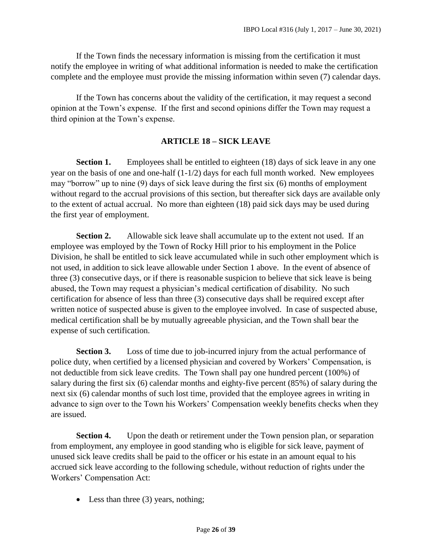If the Town finds the necessary information is missing from the certification it must notify the employee in writing of what additional information is needed to make the certification complete and the employee must provide the missing information within seven (7) calendar days.

If the Town has concerns about the validity of the certification, it may request a second opinion at the Town's expense. If the first and second opinions differ the Town may request a third opinion at the Town's expense.

#### **ARTICLE 18 – SICK LEAVE**

<span id="page-25-0"></span>**Section 1.** Employees shall be entitled to eighteen (18) days of sick leave in any one year on the basis of one and one-half (1-1/2) days for each full month worked. New employees may "borrow" up to nine (9) days of sick leave during the first six (6) months of employment without regard to the accrual provisions of this section, but thereafter sick days are available only to the extent of actual accrual. No more than eighteen (18) paid sick days may be used during the first year of employment.

**Section 2.** Allowable sick leave shall accumulate up to the extent not used. If an employee was employed by the Town of Rocky Hill prior to his employment in the Police Division, he shall be entitled to sick leave accumulated while in such other employment which is not used, in addition to sick leave allowable under Section 1 above. In the event of absence of three (3) consecutive days, or if there is reasonable suspicion to believe that sick leave is being abused, the Town may request a physician's medical certification of disability. No such certification for absence of less than three (3) consecutive days shall be required except after written notice of suspected abuse is given to the employee involved. In case of suspected abuse, medical certification shall be by mutually agreeable physician, and the Town shall bear the expense of such certification.

**Section 3.** Loss of time due to job-incurred injury from the actual performance of police duty, when certified by a licensed physician and covered by Workers' Compensation, is not deductible from sick leave credits. The Town shall pay one hundred percent (100%) of salary during the first six (6) calendar months and eighty-five percent (85%) of salary during the next six (6) calendar months of such lost time, provided that the employee agrees in writing in advance to sign over to the Town his Workers' Compensation weekly benefits checks when they are issued.

**Section 4.** Upon the death or retirement under the Town pension plan, or separation from employment, any employee in good standing who is eligible for sick leave, payment of unused sick leave credits shall be paid to the officer or his estate in an amount equal to his accrued sick leave according to the following schedule, without reduction of rights under the Workers' Compensation Act:

• Less than three (3) years, nothing;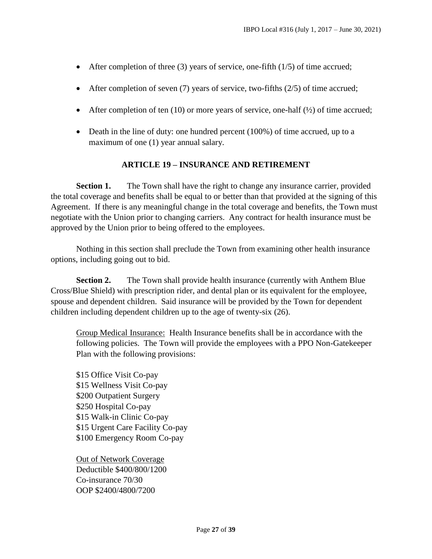- $\bullet$  After completion of three (3) years of service, one-fifth (1/5) of time accrued;
- After completion of seven  $(7)$  years of service, two-fifths  $(2/5)$  of time accrued;
- After completion of ten  $(10)$  or more years of service, one-half  $(\frac{1}{2})$  of time accrued;
- Death in the line of duty: one hundred percent (100%) of time accrued, up to a maximum of one (1) year annual salary.

#### **ARTICLE 19 – INSURANCE AND RETIREMENT**

<span id="page-26-0"></span>**Section 1.** The Town shall have the right to change any insurance carrier, provided the total coverage and benefits shall be equal to or better than that provided at the signing of this Agreement. If there is any meaningful change in the total coverage and benefits, the Town must negotiate with the Union prior to changing carriers. Any contract for health insurance must be approved by the Union prior to being offered to the employees.

Nothing in this section shall preclude the Town from examining other health insurance options, including going out to bid.

**Section 2.** The Town shall provide health insurance (currently with Anthem Blue) Cross/Blue Shield) with prescription rider, and dental plan or its equivalent for the employee, spouse and dependent children. Said insurance will be provided by the Town for dependent children including dependent children up to the age of twenty-six (26).

Group Medical Insurance: Health Insurance benefits shall be in accordance with the following policies. The Town will provide the employees with a PPO Non-Gatekeeper Plan with the following provisions:

\$15 Office Visit Co-pay \$15 Wellness Visit Co-pay \$200 Outpatient Surgery \$250 Hospital Co-pay \$15 Walk-in Clinic Co-pay \$15 Urgent Care Facility Co-pay \$100 Emergency Room Co-pay

Out of Network Coverage Deductible \$400/800/1200 Co-insurance 70/30 OOP \$2400/4800/7200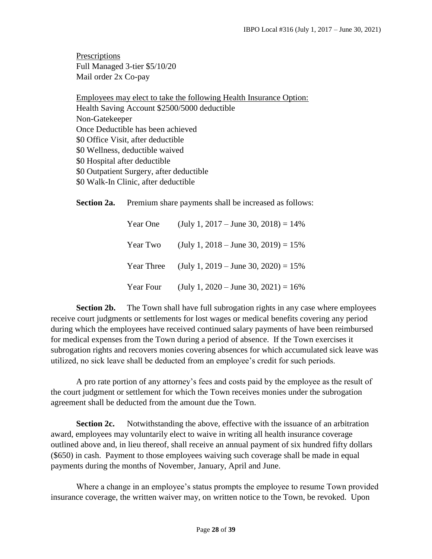**Prescriptions** Full Managed 3-tier \$5/10/20 Mail order 2x Co-pay

Employees may elect to take the following Health Insurance Option: Health Saving Account \$2500/5000 deductible Non-Gatekeeper Once Deductible has been achieved \$0 Office Visit, after deductible \$0 Wellness, deductible waived \$0 Hospital after deductible \$0 Outpatient Surgery, after deductible \$0 Walk-In Clinic, after deductible

**Section 2a.** Premium share payments shall be increased as follows:

| Year One   | $(\text{July } 1, 2017 - \text{June } 30, 2018) = 14\%$ |
|------------|---------------------------------------------------------|
| Year Two   | (July 1, 2018 – June 30, 2019) = $15\%$                 |
| Year Three | (July 1, 2019 – June 30, 2020) = $15\%$                 |
| Year Four  | $(\text{July } 1, 2020 - \text{June } 30, 2021) = 16\%$ |

**Section 2b.** The Town shall have full subrogation rights in any case where employees receive court judgments or settlements for lost wages or medical benefits covering any period during which the employees have received continued salary payments of have been reimbursed for medical expenses from the Town during a period of absence. If the Town exercises it subrogation rights and recovers monies covering absences for which accumulated sick leave was utilized, no sick leave shall be deducted from an employee's credit for such periods.

A pro rate portion of any attorney's fees and costs paid by the employee as the result of the court judgment or settlement for which the Town receives monies under the subrogation agreement shall be deducted from the amount due the Town.

**Section 2c.** Notwithstanding the above, effective with the issuance of an arbitration award, employees may voluntarily elect to waive in writing all health insurance coverage outlined above and, in lieu thereof, shall receive an annual payment of six hundred fifty dollars (\$650) in cash. Payment to those employees waiving such coverage shall be made in equal payments during the months of November, January, April and June.

Where a change in an employee's status prompts the employee to resume Town provided insurance coverage, the written waiver may, on written notice to the Town, be revoked. Upon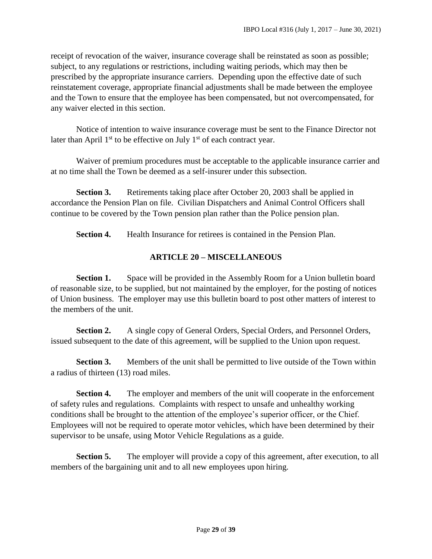receipt of revocation of the waiver, insurance coverage shall be reinstated as soon as possible; subject, to any regulations or restrictions, including waiting periods, which may then be prescribed by the appropriate insurance carriers. Depending upon the effective date of such reinstatement coverage, appropriate financial adjustments shall be made between the employee and the Town to ensure that the employee has been compensated, but not overcompensated, for any waiver elected in this section.

Notice of intention to waive insurance coverage must be sent to the Finance Director not later than April  $1<sup>st</sup>$  to be effective on July  $1<sup>st</sup>$  of each contract year.

Waiver of premium procedures must be acceptable to the applicable insurance carrier and at no time shall the Town be deemed as a self-insurer under this subsection.

**Section 3.** Retirements taking place after October 20, 2003 shall be applied in accordance the Pension Plan on file. Civilian Dispatchers and Animal Control Officers shall continue to be covered by the Town pension plan rather than the Police pension plan.

**Section 4.** Health Insurance for retirees is contained in the Pension Plan.

#### **ARTICLE 20 – MISCELLANEOUS**

<span id="page-28-0"></span>**Section 1.** Space will be provided in the Assembly Room for a Union bulletin board of reasonable size, to be supplied, but not maintained by the employer, for the posting of notices of Union business. The employer may use this bulletin board to post other matters of interest to the members of the unit.

**Section 2.** A single copy of General Orders, Special Orders, and Personnel Orders, issued subsequent to the date of this agreement, will be supplied to the Union upon request.

**Section 3.** Members of the unit shall be permitted to live outside of the Town within a radius of thirteen (13) road miles.

**Section 4.** The employer and members of the unit will cooperate in the enforcement of safety rules and regulations. Complaints with respect to unsafe and unhealthy working conditions shall be brought to the attention of the employee's superior officer, or the Chief. Employees will not be required to operate motor vehicles, which have been determined by their supervisor to be unsafe, using Motor Vehicle Regulations as a guide.

**Section 5.** The employer will provide a copy of this agreement, after execution, to all members of the bargaining unit and to all new employees upon hiring.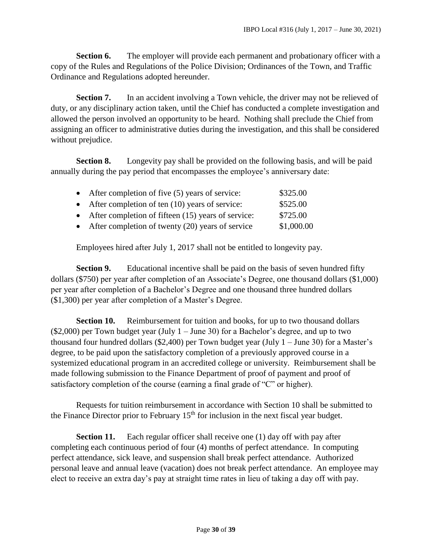**Section 6.** The employer will provide each permanent and probationary officer with a copy of the Rules and Regulations of the Police Division; Ordinances of the Town, and Traffic Ordinance and Regulations adopted hereunder.

**Section 7.** In an accident involving a Town vehicle, the driver may not be relieved of duty, or any disciplinary action taken, until the Chief has conducted a complete investigation and allowed the person involved an opportunity to be heard. Nothing shall preclude the Chief from assigning an officer to administrative duties during the investigation, and this shall be considered without prejudice.

**Section 8.** Longevity pay shall be provided on the following basis, and will be paid annually during the pay period that encompasses the employee's anniversary date:

| • After completion of five $(5)$ years of service:     | \$325.00   |
|--------------------------------------------------------|------------|
| • After completion of ten $(10)$ years of service:     | \$525.00   |
| • After completion of fifteen $(15)$ years of service: | \$725.00   |
| • After completion of twenty $(20)$ years of service   | \$1,000.00 |

Employees hired after July 1, 2017 shall not be entitled to longevity pay.

**Section 9.** Educational incentive shall be paid on the basis of seven hundred fifty dollars (\$750) per year after completion of an Associate's Degree, one thousand dollars (\$1,000) per year after completion of a Bachelor's Degree and one thousand three hundred dollars (\$1,300) per year after completion of a Master's Degree.

**Section 10.** Reimbursement for tuition and books, for up to two thousand dollars  $(\$2,000)$  per Town budget year (July 1 – June 30) for a Bachelor's degree, and up to two thousand four hundred dollars (\$2,400) per Town budget year (July  $1 -$  June 30) for a Master's degree, to be paid upon the satisfactory completion of a previously approved course in a systemized educational program in an accredited college or university. Reimbursement shall be made following submission to the Finance Department of proof of payment and proof of satisfactory completion of the course (earning a final grade of "C" or higher).

Requests for tuition reimbursement in accordance with Section 10 shall be submitted to the Finance Director prior to February  $15<sup>th</sup>$  for inclusion in the next fiscal year budget.

**Section 11.** Each regular officer shall receive one (1) day off with pay after completing each continuous period of four (4) months of perfect attendance. In computing perfect attendance, sick leave, and suspension shall break perfect attendance. Authorized personal leave and annual leave (vacation) does not break perfect attendance. An employee may elect to receive an extra day's pay at straight time rates in lieu of taking a day off with pay.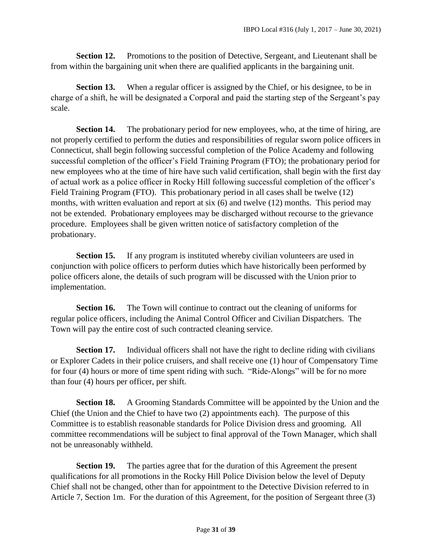**Section 12.** Promotions to the position of Detective, Sergeant, and Lieutenant shall be from within the bargaining unit when there are qualified applicants in the bargaining unit.

**Section 13.** When a regular officer is assigned by the Chief, or his designee, to be in charge of a shift, he will be designated a Corporal and paid the starting step of the Sergeant's pay scale.

**Section 14.** The probationary period for new employees, who, at the time of hiring, are not properly certified to perform the duties and responsibilities of regular sworn police officers in Connecticut, shall begin following successful completion of the Police Academy and following successful completion of the officer's Field Training Program (FTO); the probationary period for new employees who at the time of hire have such valid certification, shall begin with the first day of actual work as a police officer in Rocky Hill following successful completion of the officer's Field Training Program (FTO). This probationary period in all cases shall be twelve (12) months, with written evaluation and report at six (6) and twelve (12) months. This period may not be extended. Probationary employees may be discharged without recourse to the grievance procedure. Employees shall be given written notice of satisfactory completion of the probationary.

**Section 15.** If any program is instituted whereby civilian volunteers are used in conjunction with police officers to perform duties which have historically been performed by police officers alone, the details of such program will be discussed with the Union prior to implementation.

**Section 16.** The Town will continue to contract out the cleaning of uniforms for regular police officers, including the Animal Control Officer and Civilian Dispatchers. The Town will pay the entire cost of such contracted cleaning service.

**Section 17.** Individual officers shall not have the right to decline riding with civilians or Explorer Cadets in their police cruisers, and shall receive one (1) hour of Compensatory Time for four (4) hours or more of time spent riding with such. "Ride-Alongs" will be for no more than four (4) hours per officer, per shift.

**Section 18.** A Grooming Standards Committee will be appointed by the Union and the Chief (the Union and the Chief to have two (2) appointments each). The purpose of this Committee is to establish reasonable standards for Police Division dress and grooming. All committee recommendations will be subject to final approval of the Town Manager, which shall not be unreasonably withheld.

**Section 19.** The parties agree that for the duration of this Agreement the present qualifications for all promotions in the Rocky Hill Police Division below the level of Deputy Chief shall not be changed, other than for appointment to the Detective Division referred to in Article 7, Section 1m. For the duration of this Agreement, for the position of Sergeant three (3)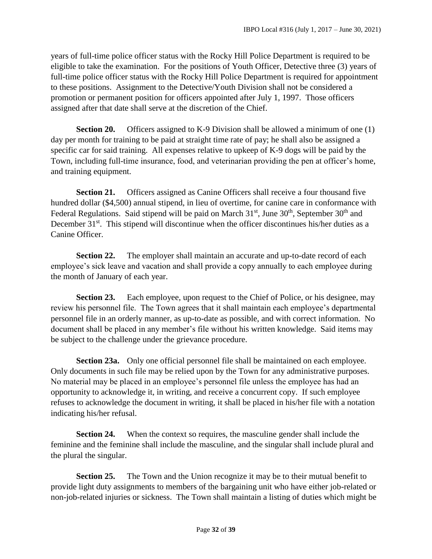years of full-time police officer status with the Rocky Hill Police Department is required to be eligible to take the examination. For the positions of Youth Officer, Detective three (3) years of full-time police officer status with the Rocky Hill Police Department is required for appointment to these positions. Assignment to the Detective/Youth Division shall not be considered a promotion or permanent position for officers appointed after July 1, 1997. Those officers assigned after that date shall serve at the discretion of the Chief.

**Section 20.** Officers assigned to K-9 Division shall be allowed a minimum of one (1) day per month for training to be paid at straight time rate of pay; he shall also be assigned a specific car for said training. All expenses relative to upkeep of K-9 dogs will be paid by the Town, including full-time insurance, food, and veterinarian providing the pen at officer's home, and training equipment.

**Section 21.** Officers assigned as Canine Officers shall receive a four thousand five hundred dollar (\$4,500) annual stipend, in lieu of overtime, for canine care in conformance with Federal Regulations. Said stipend will be paid on March  $31<sup>st</sup>$ , June  $30<sup>th</sup>$ , September  $30<sup>th</sup>$  and December  $31^{st}$ . This stipend will discontinue when the officer discontinues his/her duties as a Canine Officer.

**Section 22.** The employer shall maintain an accurate and up-to-date record of each employee's sick leave and vacation and shall provide a copy annually to each employee during the month of January of each year.

**Section 23.** Each employee, upon request to the Chief of Police, or his designee, may review his personnel file. The Town agrees that it shall maintain each employee's departmental personnel file in an orderly manner, as up-to-date as possible, and with correct information. No document shall be placed in any member's file without his written knowledge. Said items may be subject to the challenge under the grievance procedure.

**Section 23a.** Only one official personnel file shall be maintained on each employee. Only documents in such file may be relied upon by the Town for any administrative purposes. No material may be placed in an employee's personnel file unless the employee has had an opportunity to acknowledge it, in writing, and receive a concurrent copy. If such employee refuses to acknowledge the document in writing, it shall be placed in his/her file with a notation indicating his/her refusal.

**Section 24.** When the context so requires, the masculine gender shall include the feminine and the feminine shall include the masculine, and the singular shall include plural and the plural the singular.

**Section 25.** The Town and the Union recognize it may be to their mutual benefit to provide light duty assignments to members of the bargaining unit who have either job-related or non-job-related injuries or sickness. The Town shall maintain a listing of duties which might be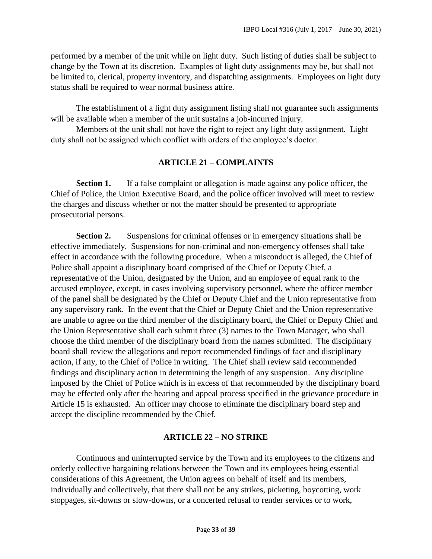performed by a member of the unit while on light duty. Such listing of duties shall be subject to change by the Town at its discretion. Examples of light duty assignments may be, but shall not be limited to, clerical, property inventory, and dispatching assignments. Employees on light duty status shall be required to wear normal business attire.

The establishment of a light duty assignment listing shall not guarantee such assignments will be available when a member of the unit sustains a job-incurred injury.

Members of the unit shall not have the right to reject any light duty assignment. Light duty shall not be assigned which conflict with orders of the employee's doctor.

#### **ARTICLE 21 – COMPLAINTS**

<span id="page-32-0"></span>**Section 1.** If a false complaint or allegation is made against any police officer, the Chief of Police, the Union Executive Board, and the police officer involved will meet to review the charges and discuss whether or not the matter should be presented to appropriate prosecutorial persons.

**Section 2.** Suspensions for criminal offenses or in emergency situations shall be effective immediately. Suspensions for non-criminal and non-emergency offenses shall take effect in accordance with the following procedure. When a misconduct is alleged, the Chief of Police shall appoint a disciplinary board comprised of the Chief or Deputy Chief, a representative of the Union, designated by the Union, and an employee of equal rank to the accused employee, except, in cases involving supervisory personnel, where the officer member of the panel shall be designated by the Chief or Deputy Chief and the Union representative from any supervisory rank. In the event that the Chief or Deputy Chief and the Union representative are unable to agree on the third member of the disciplinary board, the Chief or Deputy Chief and the Union Representative shall each submit three (3) names to the Town Manager, who shall choose the third member of the disciplinary board from the names submitted. The disciplinary board shall review the allegations and report recommended findings of fact and disciplinary action, if any, to the Chief of Police in writing. The Chief shall review said recommended findings and disciplinary action in determining the length of any suspension. Any discipline imposed by the Chief of Police which is in excess of that recommended by the disciplinary board may be effected only after the hearing and appeal process specified in the grievance procedure in Article 15 is exhausted. An officer may choose to eliminate the disciplinary board step and accept the discipline recommended by the Chief.

#### **ARTICLE 22 – NO STRIKE**

<span id="page-32-1"></span>Continuous and uninterrupted service by the Town and its employees to the citizens and orderly collective bargaining relations between the Town and its employees being essential considerations of this Agreement, the Union agrees on behalf of itself and its members, individually and collectively, that there shall not be any strikes, picketing, boycotting, work stoppages, sit-downs or slow-downs, or a concerted refusal to render services or to work,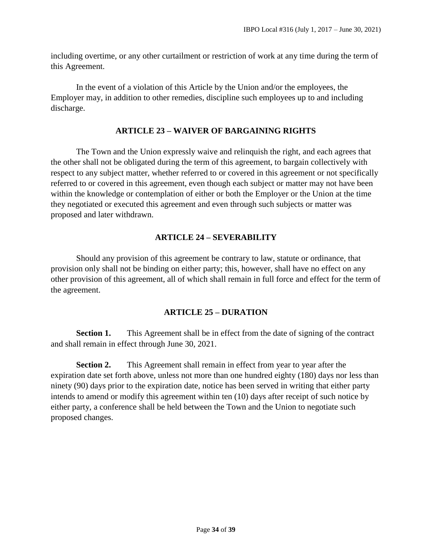including overtime, or any other curtailment or restriction of work at any time during the term of this Agreement.

In the event of a violation of this Article by the Union and/or the employees, the Employer may, in addition to other remedies, discipline such employees up to and including discharge.

#### **ARTICLE 23 – WAIVER OF BARGAINING RIGHTS**

<span id="page-33-0"></span>The Town and the Union expressly waive and relinquish the right, and each agrees that the other shall not be obligated during the term of this agreement, to bargain collectively with respect to any subject matter, whether referred to or covered in this agreement or not specifically referred to or covered in this agreement, even though each subject or matter may not have been within the knowledge or contemplation of either or both the Employer or the Union at the time they negotiated or executed this agreement and even through such subjects or matter was proposed and later withdrawn.

#### **ARTICLE 24 – SEVERABILITY**

<span id="page-33-1"></span>Should any provision of this agreement be contrary to law, statute or ordinance, that provision only shall not be binding on either party; this, however, shall have no effect on any other provision of this agreement, all of which shall remain in full force and effect for the term of the agreement.

#### **ARTICLE 25 – DURATION**

<span id="page-33-2"></span>**Section 1.** This Agreement shall be in effect from the date of signing of the contract and shall remain in effect through June 30, 2021.

**Section 2.** This Agreement shall remain in effect from year to year after the expiration date set forth above, unless not more than one hundred eighty (180) days nor less than ninety (90) days prior to the expiration date, notice has been served in writing that either party intends to amend or modify this agreement within ten (10) days after receipt of such notice by either party, a conference shall be held between the Town and the Union to negotiate such proposed changes.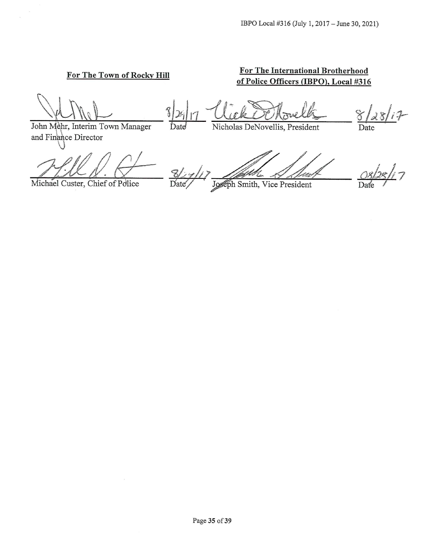#### For The Town of Rocky Hill

#### For The International Brotherhood of Police Officers (IBPO), Local #316

John Mehr, Interim Town Manager

and Finance Director

Michael Custer, Chief of Police

Nicholas DeNovellis, President

Date

lses Joseph Smith, Vice President Date

 $\overline{\mathcal{L}}$  $\mathrm{D}$ <sub>2</sub>

 $28/i7$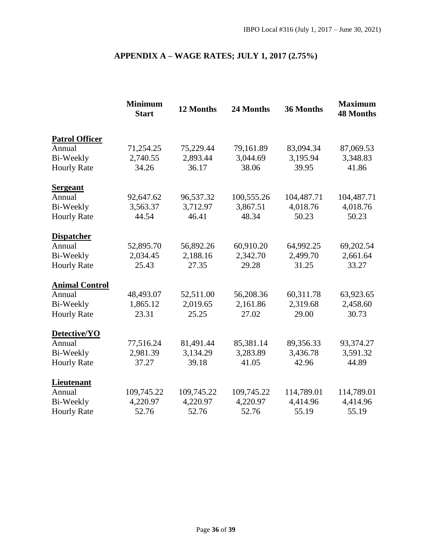## **APPENDIX A – WAGE RATES; JULY 1, 2017 (2.75%)**

<span id="page-35-0"></span>

|                       | <b>Minimum</b><br><b>Start</b> | 12 Months  | 24 Months  | 36 Months  | <b>Maximum</b><br><b>48 Months</b> |
|-----------------------|--------------------------------|------------|------------|------------|------------------------------------|
| <b>Patrol Officer</b> |                                |            |            |            |                                    |
| Annual                | 71,254.25                      | 75,229.44  | 79,161.89  | 83,094.34  | 87,069.53                          |
| Bi-Weekly             | 2,740.55                       | 2,893.44   | 3,044.69   | 3,195.94   | 3,348.83                           |
| <b>Hourly Rate</b>    | 34.26                          | 36.17      | 38.06      | 39.95      | 41.86                              |
| <b>Sergeant</b>       |                                |            |            |            |                                    |
| Annual                | 92,647.62                      | 96,537.32  | 100,555.26 | 104,487.71 | 104,487.71                         |
| Bi-Weekly             | 3,563.37                       | 3,712.97   | 3,867.51   | 4,018.76   | 4,018.76                           |
| <b>Hourly Rate</b>    | 44.54                          | 46.41      | 48.34      | 50.23      | 50.23                              |
| <b>Dispatcher</b>     |                                |            |            |            |                                    |
| Annual                | 52,895.70                      | 56,892.26  | 60,910.20  | 64,992.25  | 69,202.54                          |
| <b>Bi-Weekly</b>      | 2,034.45                       | 2,188.16   | 2,342.70   | 2,499.70   | 2,661.64                           |
| <b>Hourly Rate</b>    | 25.43                          | 27.35      | 29.28      | 31.25      | 33.27                              |
| <b>Animal Control</b> |                                |            |            |            |                                    |
| Annual                | 48,493.07                      | 52,511.00  | 56,208.36  | 60,311.78  | 63,923.65                          |
| Bi-Weekly             | 1,865.12                       | 2,019.65   | 2,161.86   | 2,319.68   | 2,458.60                           |
| <b>Hourly Rate</b>    | 23.31                          | 25.25      | 27.02      | 29.00      | 30.73                              |
| Detective/YO          |                                |            |            |            |                                    |
| Annual                | 77,516.24                      | 81,491.44  | 85,381.14  | 89,356.33  | 93,374.27                          |
| Bi-Weekly             | 2,981.39                       | 3,134.29   | 3,283.89   | 3,436.78   | 3,591.32                           |
| <b>Hourly Rate</b>    | 37.27                          | 39.18      | 41.05      | 42.96      | 44.89                              |
| <b>Lieutenant</b>     |                                |            |            |            |                                    |
| Annual                | 109,745.22                     | 109,745.22 | 109,745.22 | 114,789.01 | 114,789.01                         |
| Bi-Weekly             | 4,220.97                       | 4,220.97   | 4,220.97   | 4,414.96   | 4,414.96                           |
| <b>Hourly Rate</b>    | 52.76                          | 52.76      | 52.76      | 55.19      | 55.19                              |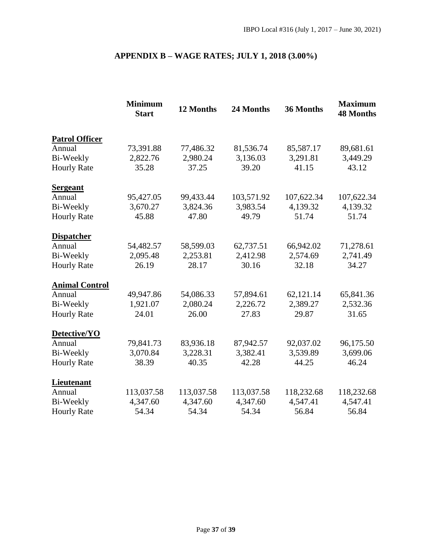## **APPENDIX B – WAGE RATES; JULY 1, 2018 (3.00%)**

<span id="page-36-0"></span>

|                       | <b>Minimum</b><br><b>Start</b> | 12 Months  | 24 Months  | 36 Months  | <b>Maximum</b><br><b>48 Months</b> |
|-----------------------|--------------------------------|------------|------------|------------|------------------------------------|
| <b>Patrol Officer</b> |                                |            |            |            |                                    |
| Annual                | 73,391.88                      | 77,486.32  | 81,536.74  | 85,587.17  | 89,681.61                          |
| Bi-Weekly             | 2,822.76                       | 2,980.24   | 3,136.03   | 3,291.81   | 3,449.29                           |
| <b>Hourly Rate</b>    | 35.28                          | 37.25      | 39.20      | 41.15      | 43.12                              |
| <b>Sergeant</b>       |                                |            |            |            |                                    |
| Annual                | 95,427.05                      | 99,433.44  | 103,571.92 | 107,622.34 | 107,622.34                         |
| Bi-Weekly             | 3,670.27                       | 3,824.36   | 3,983.54   | 4,139.32   | 4,139.32                           |
| <b>Hourly Rate</b>    | 45.88                          | 47.80      | 49.79      | 51.74      | 51.74                              |
| <b>Dispatcher</b>     |                                |            |            |            |                                    |
| Annual                | 54,482.57                      | 58,599.03  | 62,737.51  | 66,942.02  | 71,278.61                          |
| <b>Bi-Weekly</b>      | 2,095.48                       | 2,253.81   | 2,412.98   | 2,574.69   | 2,741.49                           |
| <b>Hourly Rate</b>    | 26.19                          | 28.17      | 30.16      | 32.18      | 34.27                              |
| <b>Animal Control</b> |                                |            |            |            |                                    |
| Annual                | 49,947.86                      | 54,086.33  | 57,894.61  | 62,121.14  | 65,841.36                          |
| Bi-Weekly             | 1,921.07                       | 2,080.24   | 2,226.72   | 2,389.27   | 2,532.36                           |
| <b>Hourly Rate</b>    | 24.01                          | 26.00      | 27.83      | 29.87      | 31.65                              |
| Detective/YO          |                                |            |            |            |                                    |
| Annual                | 79,841.73                      | 83,936.18  | 87,942.57  | 92,037.02  | 96,175.50                          |
| Bi-Weekly             | 3,070.84                       | 3,228.31   | 3,382.41   | 3,539.89   | 3,699.06                           |
| <b>Hourly Rate</b>    | 38.39                          | 40.35      | 42.28      | 44.25      | 46.24                              |
| <b>Lieutenant</b>     |                                |            |            |            |                                    |
| Annual                | 113,037.58                     | 113,037.58 | 113,037.58 | 118,232.68 | 118,232.68                         |
| Bi-Weekly             | 4,347.60                       | 4,347.60   | 4,347.60   | 4,547.41   | 4,547.41                           |
| <b>Hourly Rate</b>    | 54.34                          | 54.34      | 54.34      | 56.84      | 56.84                              |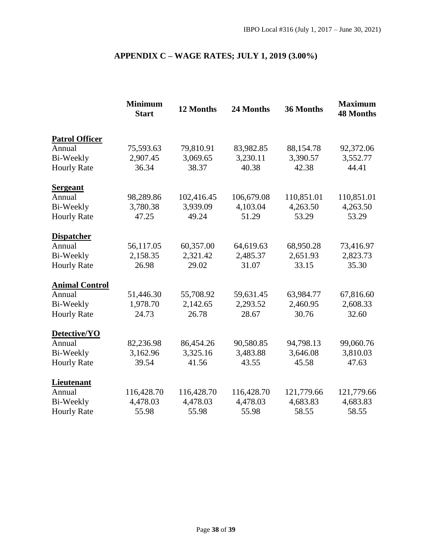## **APPENDIX C – WAGE RATES; JULY 1, 2019 (3.00%)**

<span id="page-37-0"></span>

|                       | <b>Minimum</b><br><b>Start</b> | 12 Months  | 24 Months  | 36 Months  | <b>Maximum</b><br><b>48 Months</b> |
|-----------------------|--------------------------------|------------|------------|------------|------------------------------------|
| <b>Patrol Officer</b> |                                |            |            |            |                                    |
| Annual                | 75,593.63                      | 79,810.91  | 83,982.85  | 88,154.78  | 92,372.06                          |
| Bi-Weekly             | 2,907.45                       | 3,069.65   | 3,230.11   | 3,390.57   | 3,552.77                           |
| <b>Hourly Rate</b>    | 36.34                          | 38.37      | 40.38      | 42.38      | 44.41                              |
| <b>Sergeant</b>       |                                |            |            |            |                                    |
| Annual                | 98,289.86                      | 102,416.45 | 106,679.08 | 110,851.01 | 110,851.01                         |
| Bi-Weekly             | 3,780.38                       | 3,939.09   | 4,103.04   | 4,263.50   | 4,263.50                           |
| <b>Hourly Rate</b>    | 47.25                          | 49.24      | 51.29      | 53.29      | 53.29                              |
| <b>Dispatcher</b>     |                                |            |            |            |                                    |
| Annual                | 56,117.05                      | 60,357.00  | 64,619.63  | 68,950.28  | 73,416.97                          |
| <b>Bi-Weekly</b>      | 2,158.35                       | 2,321.42   | 2,485.37   | 2,651.93   | 2,823.73                           |
| <b>Hourly Rate</b>    | 26.98                          | 29.02      | 31.07      | 33.15      | 35.30                              |
| <b>Animal Control</b> |                                |            |            |            |                                    |
| Annual                | 51,446.30                      | 55,708.92  | 59,631.45  | 63,984.77  | 67,816.60                          |
| Bi-Weekly             | 1,978.70                       | 2,142.65   | 2,293.52   | 2,460.95   | 2,608.33                           |
| <b>Hourly Rate</b>    | 24.73                          | 26.78      | 28.67      | 30.76      | 32.60                              |
| Detective/YO          |                                |            |            |            |                                    |
| Annual                | 82,236.98                      | 86,454.26  | 90,580.85  | 94,798.13  | 99,060.76                          |
| Bi-Weekly             | 3,162.96                       | 3,325.16   | 3,483.88   | 3,646.08   | 3,810.03                           |
| <b>Hourly Rate</b>    | 39.54                          | 41.56      | 43.55      | 45.58      | 47.63                              |
| <b>Lieutenant</b>     |                                |            |            |            |                                    |
| Annual                | 116,428.70                     | 116,428.70 | 116,428.70 | 121,779.66 | 121,779.66                         |
| Bi-Weekly             | 4,478.03                       | 4,478.03   | 4,478.03   | 4,683.83   | 4,683.83                           |
| <b>Hourly Rate</b>    | 55.98                          | 55.98      | 55.98      | 58.55      | 58.55                              |